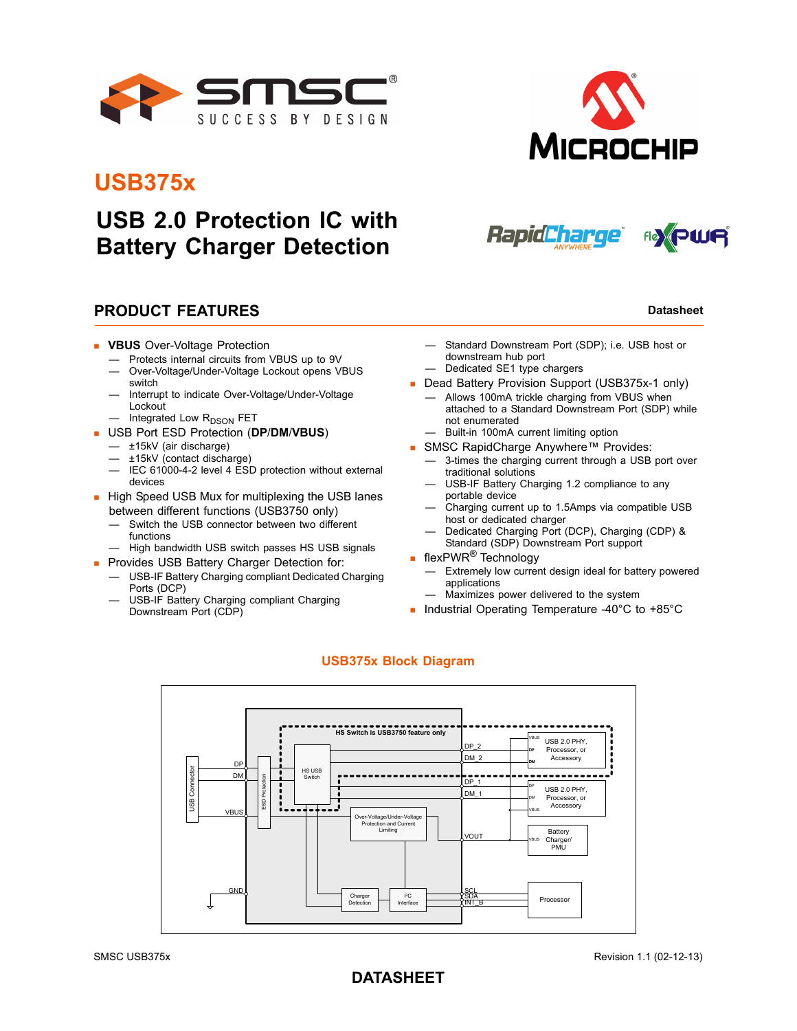

## **USB375x**

## **USB 2.0 Protection IC with Battery Charger Detection**

### **PRODUCT FEATURES Datasheet Datasheet Datasheet**

- **VBUS** Over-Voltage Protection
	- Protects internal circuits from VBUS up to 9V
	- Over-Voltage/Under-Voltage Lockout opens VBUS switch
	- Interrupt to indicate Over-Voltage/Under-Voltage Lockout
	- Integrated Low R<sub>DSON</sub> FET
- USB Port ESD Protection (**DP**/**DM**/**VBUS**)
	- ±15kV (air discharge)
	- ±15kV (contact discharge)
	- IEC 61000-4-2 level 4 ESD protection without external devices
- High Speed USB Mux for multiplexing the USB lanes between different functions (USB3750 only)
	- Switch the USB connector between two different functions
	- High bandwidth USB switch passes HS USB signals
- **Provides USB Battery Charger Detection for:**
- USB-IF Battery Charging compliant Dedicated Charging Ports (DCP)
- USB-IF Battery Charging compliant Charging Downstream Port (CDP)
- Standard Downstream Port (SDP); i.e. USB host or downstream hub port — Dedicated SE1 type chargers
- Dead Battery Provision Support (USB375x-1 only)
	- Allows 100mA trickle charging from VBUS when attached to a Standard Downstream Port (SDP) while not enumerated
	- Built-in 100mA current limiting option
- SMSC RapidCharge Anywhere™ Provides:
	- 3-times the charging current through a USB port over traditional solutions
	- USB-IF Battery Charging 1.2 compliance to any portable device
	- Charging current up to 1.5Amps via compatible USB host or dedicated charger
	- Dedicated Charging Port (DCP), Charging (CDP) & Standard (SDP) Downstream Port support
- **flexPWR<sup>®</sup>** Technology
	- Extremely low current design ideal for battery powered applications
	- Maximizes power delivered to the system
- Industrial Operating Temperature -40°C to +85°C



#### **USB375x Block Diagram**

#### **DATASHEET**



**MICROCHIP** 



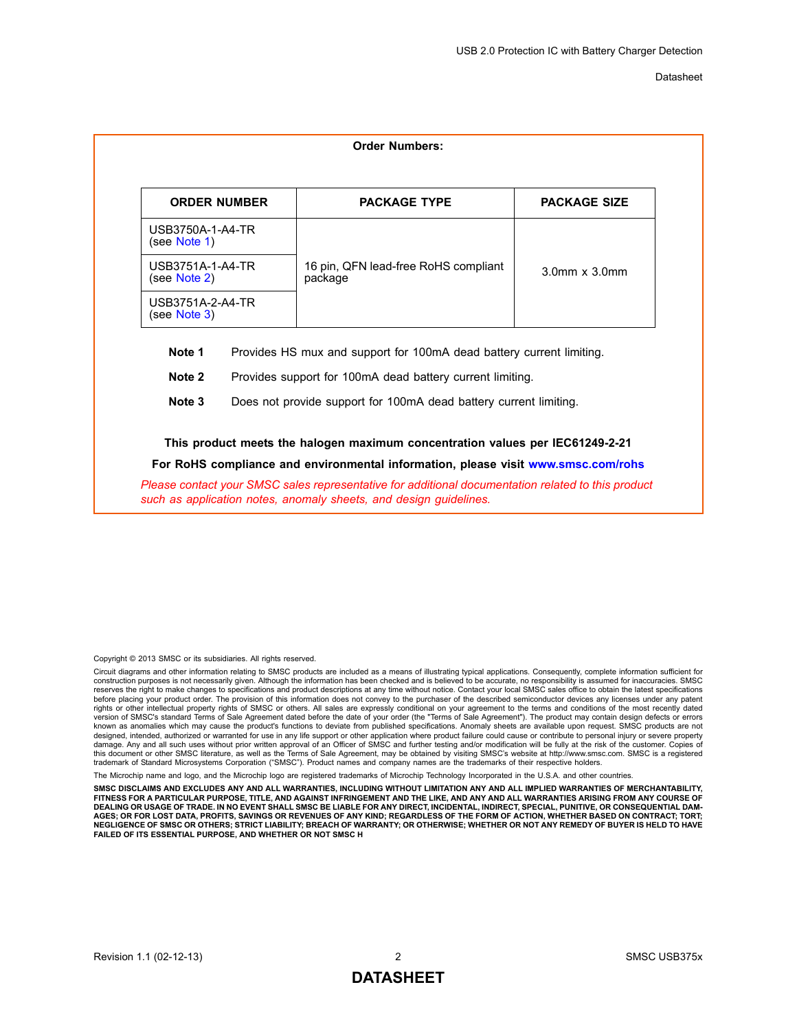<span id="page-1-1"></span><span id="page-1-0"></span>

|                                                                                | <b>PACKAGE TYPE</b>                                       | <b>PACKAGE SIZE</b>        |  |  |  |  |  |  |
|--------------------------------------------------------------------------------|-----------------------------------------------------------|----------------------------|--|--|--|--|--|--|
| USB3750A-1-A4-TR<br>(see Note 1)                                               |                                                           |                            |  |  |  |  |  |  |
| USB3751A-1-A4-TR<br>(see Note 2)                                               | 16 pin, QFN lead-free RoHS compliant<br>package           | $3.0$ mm $\times$ $3.0$ mm |  |  |  |  |  |  |
| USB3751A-2-A4-TR<br>(see Note 3)                                               |                                                           |                            |  |  |  |  |  |  |
| Note 1<br>Provides HS mux and support for 100mA dead battery current limiting. |                                                           |                            |  |  |  |  |  |  |
| Note 2                                                                         | Provides support for 100mA dead battery current limiting. |                            |  |  |  |  |  |  |
| Note 3<br>Does not provide support for 100mA dead battery current limiting.    |                                                           |                            |  |  |  |  |  |  |

<span id="page-1-2"></span>Copyright © 2013 SMSC or its subsidiaries. All rights reserved.

Circuit diagrams and other information relating to SMSC products are included as a means of illustrating typical applications. Consequently, complete information sufficient for<br>construction purposes is not necessarily give reserves the right to make changes to specifications and product descriptions at any time without notice. Contact your local SMSC sales office to obtain the latest specifications before placing your product order. The provision of this information does not convey to the purchaser of the described semiconductor devices any licenses under any patent rights or other intellectual property rights of SMSC or others. All sales are expressly conditional on your agreement to the terms and conditions of the most recently dated version of SMSC's standard Terms of Sale Agreement dated before the date of your order (the "Terms of Sale Agreement"). The product may contain design defects or errors<br>known as anomalies which may cause the product's func damage. Any and all such uses without prior written approval of an Officer of SMSC and further testing and/or modification will be fully at the risk of the customer. Copies of<br>this document or other SMSC literature, as wel

crochip name and logo, and the Microchip logo are registered trademarks of Microchip Technology Incorporated in the U.S.A. and other countries

**SMSC DISCLAIMS AND EXCLUDES ANY AND ALL WARRANTIES, INCLUDING WITHOUT LIMITATION ANY AND ALL IMPLIED WARRANTIES OF MERCHANTABILITY, FITNESS FOR A PARTICULAR PURPOSE, TITLE, AND AGAINST INFRINGEMENT AND THE LIKE, AND ANY AND ALL WARRANTIES ARISING FROM ANY COURSE OF DEALING OR USAGE OF TRADE. IN NO EVENT SHALL SMSC BE LIABLE FOR ANY DIRECT, INCIDENTAL, INDIRECT, SPECIAL, PUNITIVE, OR CONSEQUENTIAL DAM-AGES; OR FOR LOST DATA, PROFITS, SAVINGS OR REVENUES OF ANY KIND; REGARDLESS OF THE FORM OF ACTION, WHETHER BASED ON CONTRACT; TORT; NEGLIGENCE OF SMSC OR OTHERS; STRICT LIABILITY; BREACH OF WARRANTY; OR OTHERWISE; WHETHER OR NOT ANY REMEDY OF BUYER IS HELD TO HAVE FAILED OF ITS ESSENTIAL PURPOSE, AND WHETHER OR NOT SMSC H**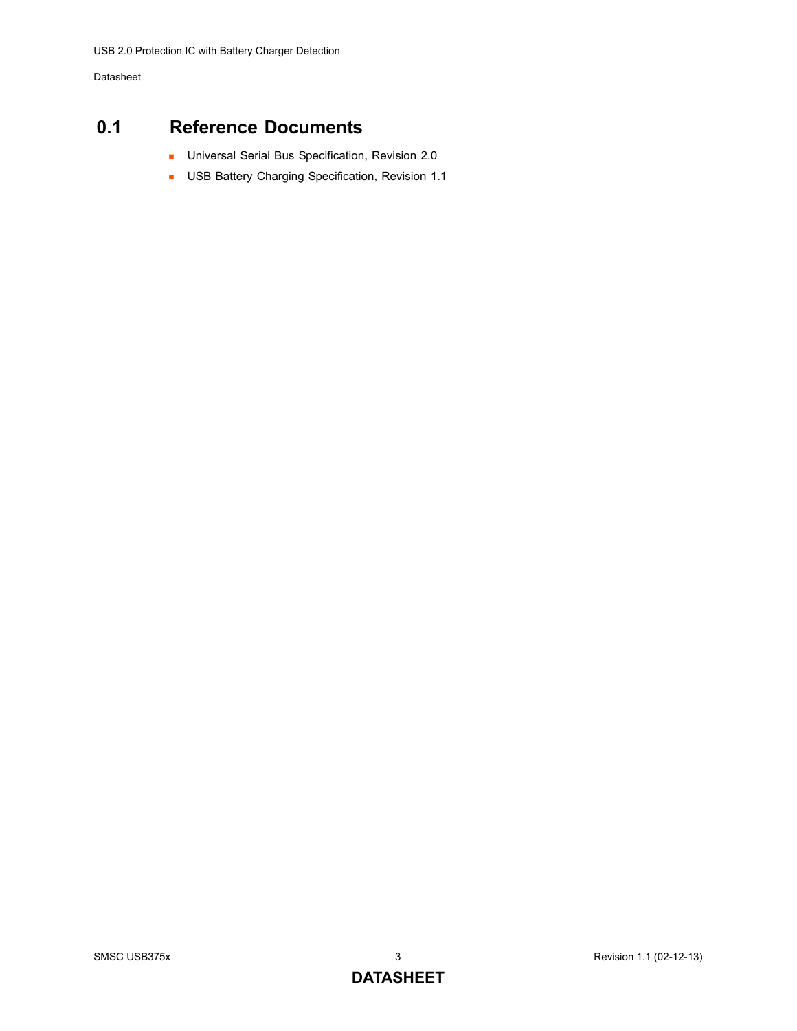## <span id="page-2-0"></span>**0.1 Reference Documents**

- **Universal Serial Bus Specification, Revision 2.0**
- **USB Battery Charging Specification, Revision 1.1**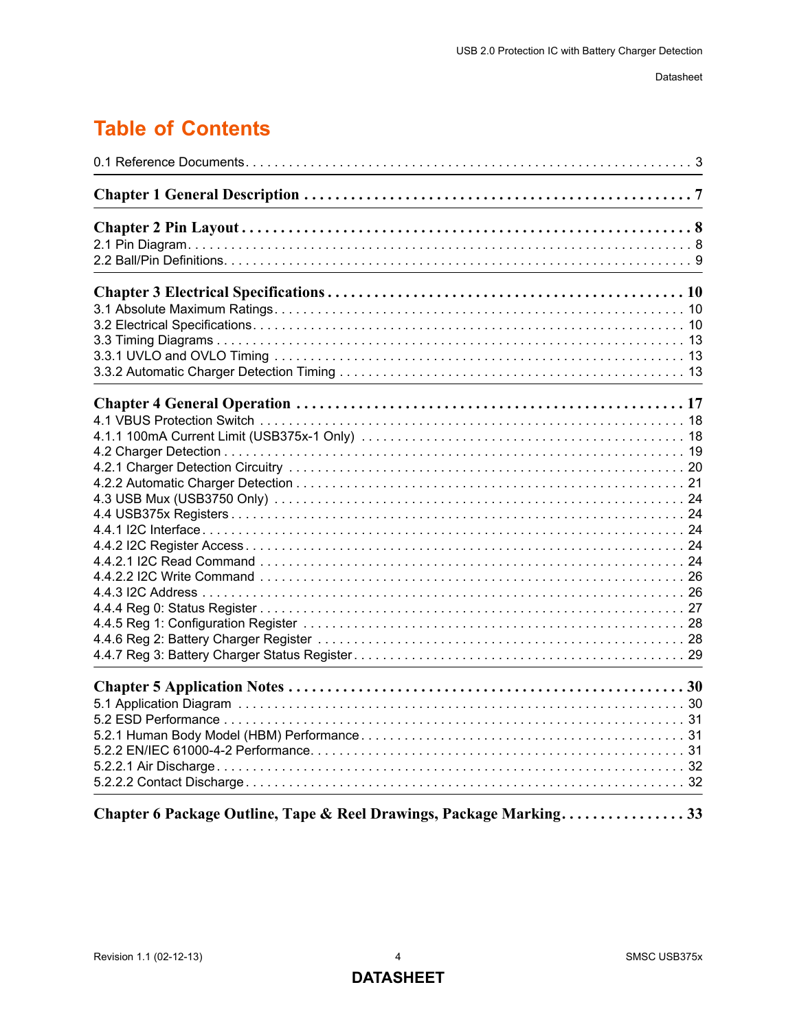## **Table of Contents**

| Chapter 6 Package Outline, Tape & Reel Drawings, Package Marking33 |
|--------------------------------------------------------------------|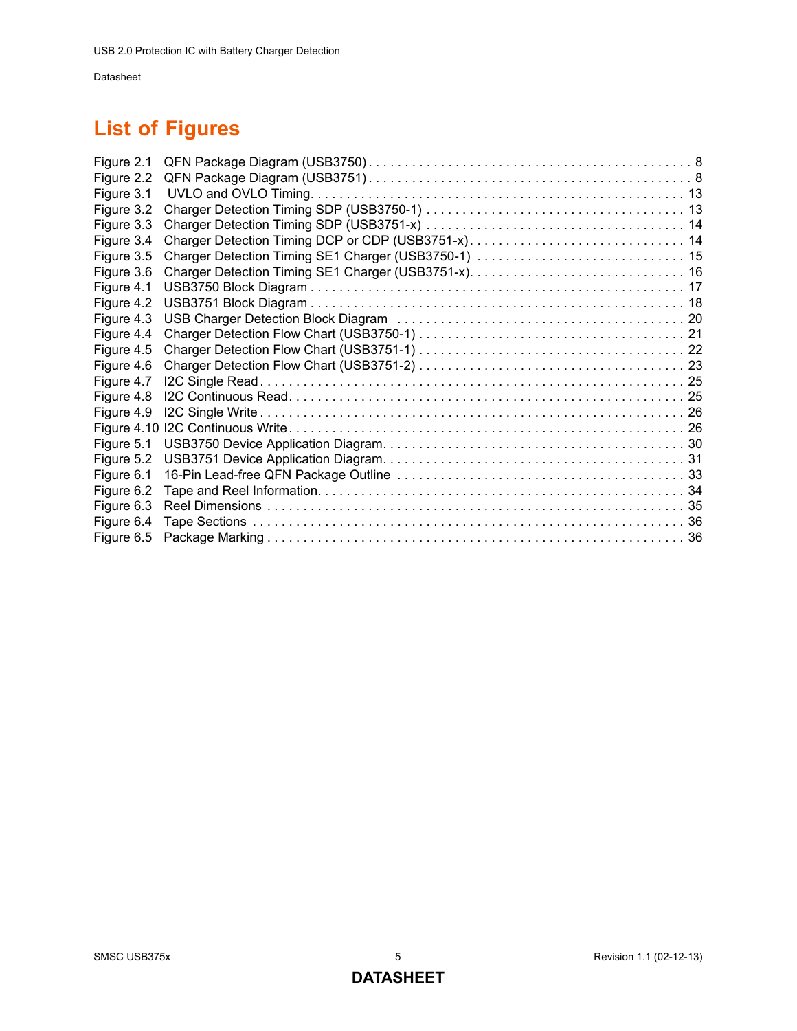## **List of Figures**

| Figure 2.1 |                                                    |  |
|------------|----------------------------------------------------|--|
| Figure 2.2 |                                                    |  |
| Figure 3.1 |                                                    |  |
| Figure 3.2 |                                                    |  |
| Figure 3.3 |                                                    |  |
| Figure 3.4 | Charger Detection Timing DCP or CDP (USB3751-x) 14 |  |
| Figure 3.5 |                                                    |  |
| Figure 3.6 |                                                    |  |
| Figure 4.1 |                                                    |  |
| Figure 4.2 |                                                    |  |
| Figure 4.3 |                                                    |  |
| Figure 4.4 |                                                    |  |
| Figure 4.5 |                                                    |  |
| Figure 4.6 |                                                    |  |
| Figure 4.7 |                                                    |  |
| Figure 4.8 |                                                    |  |
| Figure 4.9 |                                                    |  |
|            |                                                    |  |
| Figure 5.1 |                                                    |  |
| Figure 5.2 |                                                    |  |
| Figure 6.1 |                                                    |  |
| Figure 6.2 |                                                    |  |
| Figure 6.3 |                                                    |  |
| Figure 6.4 |                                                    |  |
| Figure 6.5 |                                                    |  |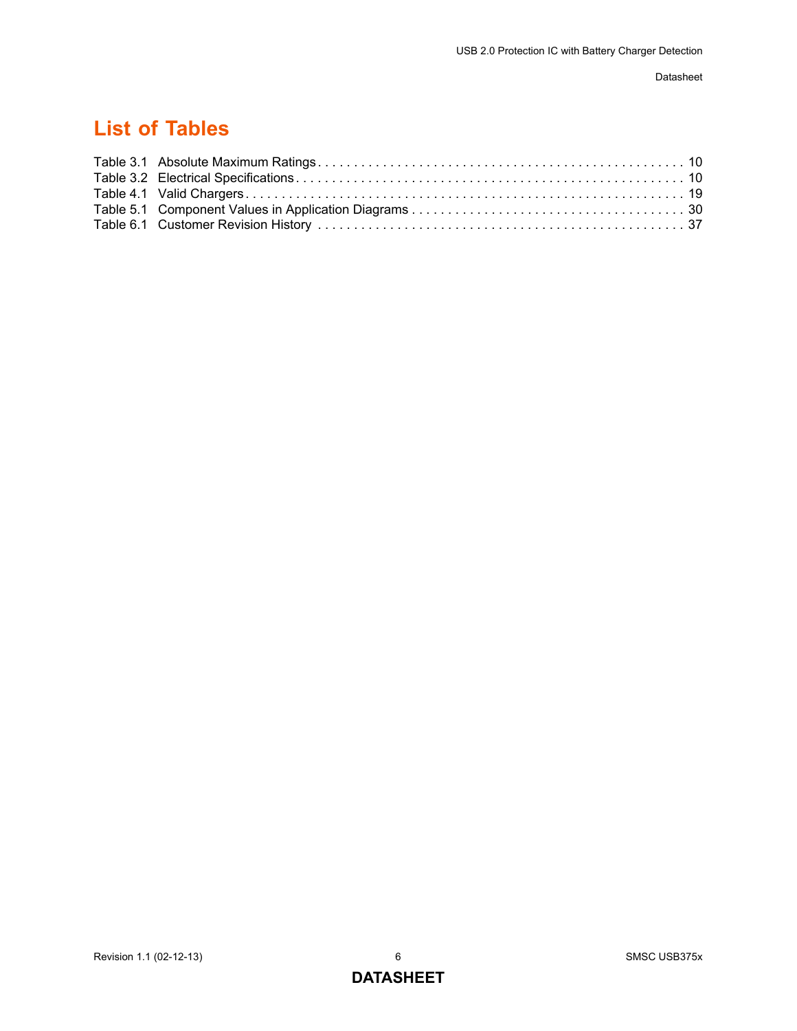## **List of Tables**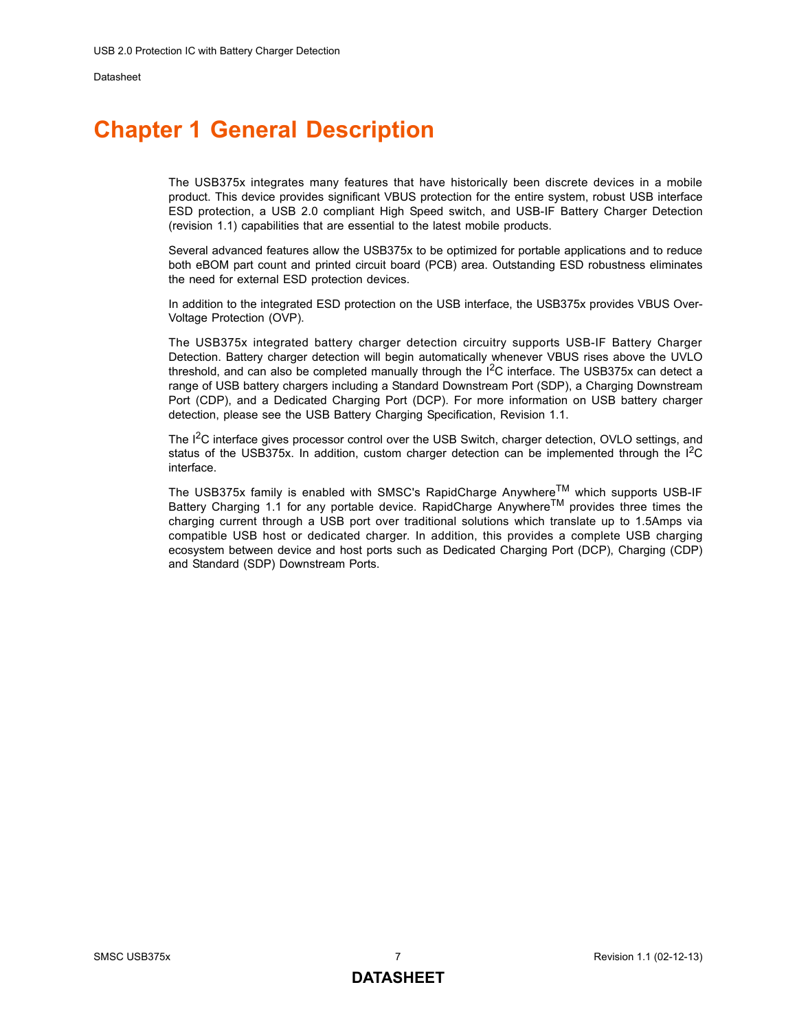## <span id="page-6-0"></span>**Chapter 1 General Description**

The USB375x integrates many features that have historically been discrete devices in a mobile product. This device provides significant VBUS protection for the entire system, robust USB interface ESD protection, a USB 2.0 compliant High Speed switch, and USB-IF Battery Charger Detection (revision 1.1) capabilities that are essential to the latest mobile products.

Several advanced features allow the USB375x to be optimized for portable applications and to reduce both eBOM part count and printed circuit board (PCB) area. Outstanding ESD robustness eliminates the need for external ESD protection devices.

In addition to the integrated ESD protection on the USB interface, the USB375x provides VBUS Over-Voltage Protection (OVP).

The USB375x integrated battery charger detection circuitry supports USB-IF Battery Charger Detection. Battery charger detection will begin automatically whenever VBUS rises above the UVLO threshold, and can also be completed manually through the  $I^2C$  interface. The USB375x can detect a range of USB battery chargers including a Standard Downstream Port (SDP), a Charging Downstream Port (CDP), and a Dedicated Charging Port (DCP). For more information on USB battery charger detection, please see the USB Battery Charging Specification, Revision 1.1.

The  $I^2C$  interface gives processor control over the USB Switch, charger detection, OVLO settings, and status of the USB375x. In addition, custom charger detection can be implemented through the  $I<sup>2</sup>C$ interface.

The USB375x family is enabled with SMSC's RapidCharge Anywhere<sup>TM</sup> which supports USB-IF Battery Charging 1.1 for any portable device. RapidCharge Anywhere<sup>TM</sup> provides three times the charging current through a USB port over traditional solutions which translate up to 1.5Amps via compatible USB host or dedicated charger. In addition, this provides a complete USB charging ecosystem between device and host ports such as Dedicated Charging Port (DCP), Charging (CDP) and Standard (SDP) Downstream Ports.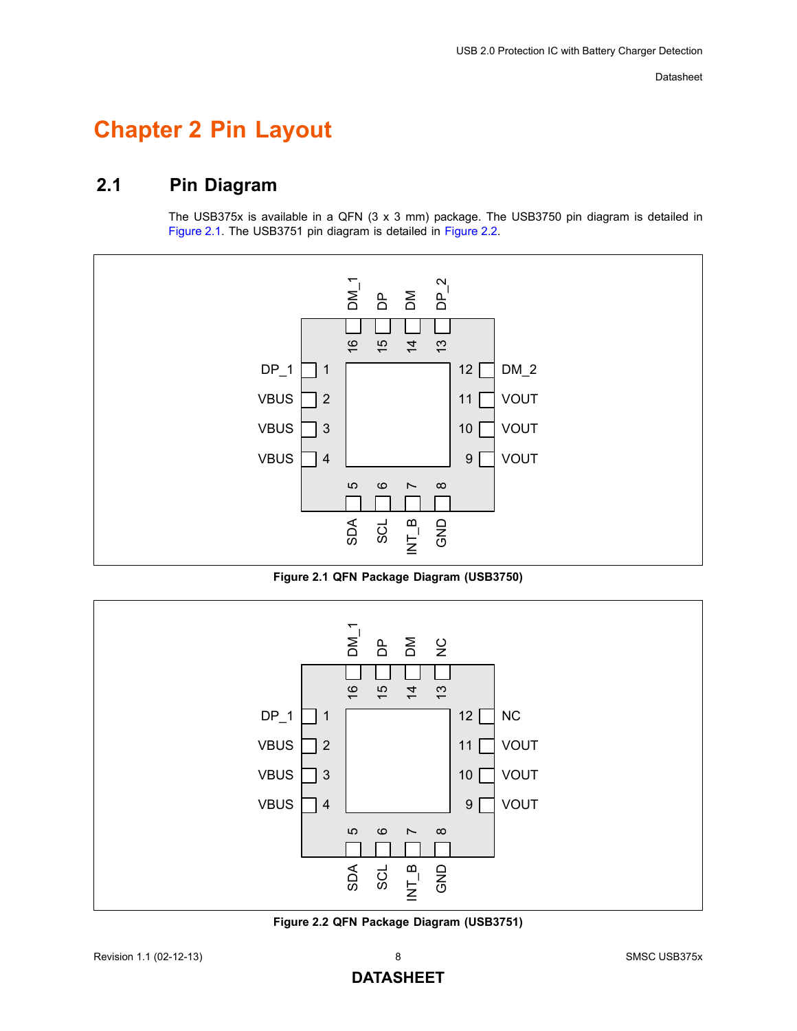## <span id="page-7-0"></span>**Chapter 2 Pin Layout**

## <span id="page-7-1"></span>**2.1 Pin Diagram**

The USB375x is available in a QFN (3 x 3 mm) package. The USB3750 pin diagram is detailed in [Figure 2.1](#page-7-2). The USB3751 pin diagram is detailed in [Figure 2.2](#page-7-3).



**Figure 2.1 QFN Package Diagram (USB3750)**

<span id="page-7-2"></span>

<span id="page-7-3"></span>**Figure 2.2 QFN Package Diagram (USB3751)**

### **DATASHEET**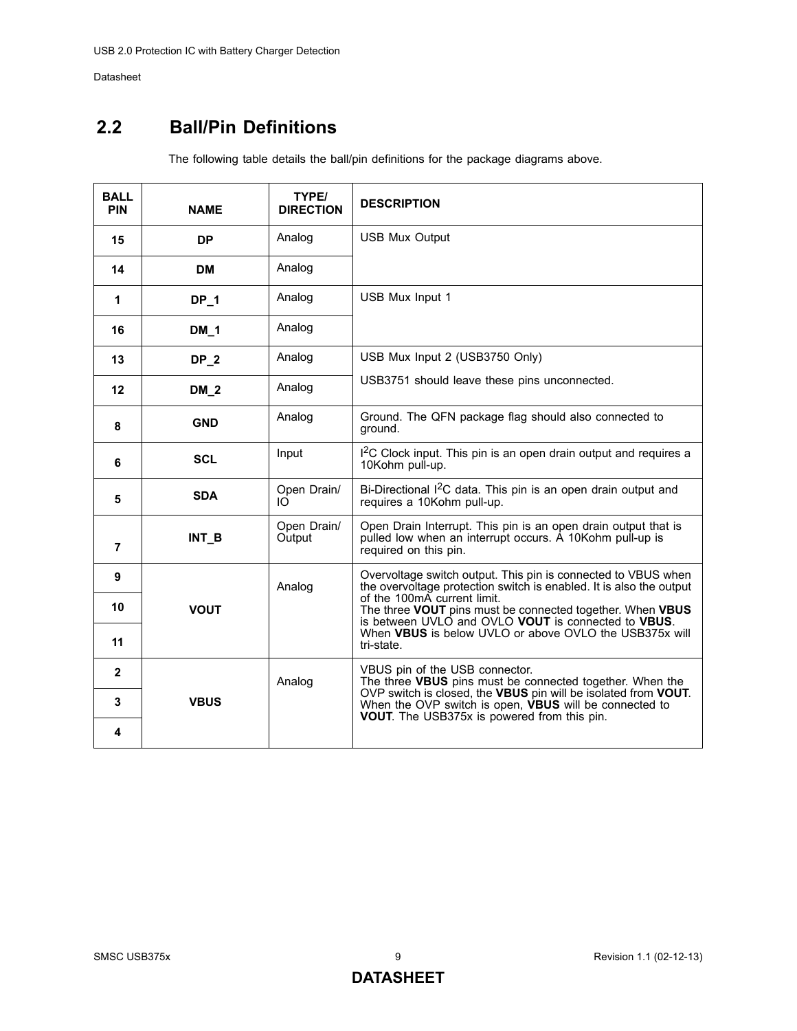## <span id="page-8-0"></span>**2.2 Ball/Pin Definitions**

The following table details the ball/pin definitions for the package diagrams above.

| <b>BALL</b><br><b>PIN</b> | <b>NAME</b> | TYPE/<br><b>DIRECTION</b> | <b>DESCRIPTION</b>                                                                                                                                  |  |  |  |
|---------------------------|-------------|---------------------------|-----------------------------------------------------------------------------------------------------------------------------------------------------|--|--|--|
| 15                        | <b>DP</b>   | Analog                    | <b>USB Mux Output</b>                                                                                                                               |  |  |  |
| 14                        | <b>DM</b>   | Analog                    |                                                                                                                                                     |  |  |  |
| 1                         | $DP_1$      | Analog                    | USB Mux Input 1                                                                                                                                     |  |  |  |
| 16                        | $DM_1$      | Analog                    |                                                                                                                                                     |  |  |  |
| 13                        | $DP_2$      | Analog                    | USB Mux Input 2 (USB3750 Only)                                                                                                                      |  |  |  |
| 12                        | $DM_2$      | Analog                    | USB3751 should leave these pins unconnected.                                                                                                        |  |  |  |
| 8                         | <b>GND</b>  | Analog                    | Ground. The QFN package flag should also connected to<br>ground.                                                                                    |  |  |  |
| 6                         | <b>SCL</b>  | Input                     | I <sup>2</sup> C Clock input. This pin is an open drain output and requires a<br>10Kohm pull-up.                                                    |  |  |  |
| 5                         | <b>SDA</b>  | Open Drain/<br>IO.        | Bi-Directional I <sup>2</sup> C data. This pin is an open drain output and<br>requires a 10Kohm pull-up.                                            |  |  |  |
| $\overline{7}$            | $INT_B$     | Open Drain/<br>Output     | Open Drain Interrupt. This pin is an open drain output that is<br>pulled low when an interrupt occurs. A 10Kohm pull-up is<br>required on this pin. |  |  |  |
| 9                         |             | Analog                    | Overvoltage switch output. This pin is connected to VBUS when<br>the overvoltage protection switch is enabled. It is also the output                |  |  |  |
| 10                        | <b>VOUT</b> |                           | of the 100mA current limit.<br>The three VOUT pins must be connected together. When VBUS<br>is between UVLO and OVLO VOUT is connected to VBUS.     |  |  |  |
| 11                        |             |                           | When <b>VBUS</b> is below UVLO or above OVLO the USB375x will<br>tri-state.                                                                         |  |  |  |
| $\mathbf{2}$              |             | Analog                    | VBUS pin of the USB connector.<br>The three VBUS pins must be connected together. When the                                                          |  |  |  |
| 3                         | <b>VBUS</b> |                           | OVP switch is closed, the VBUS pin will be isolated from VOUT.<br>When the OVP switch is open, <b>VBUS</b> will be connected to                     |  |  |  |
| 4                         |             |                           | VOUT. The USB375x is powered from this pin.                                                                                                         |  |  |  |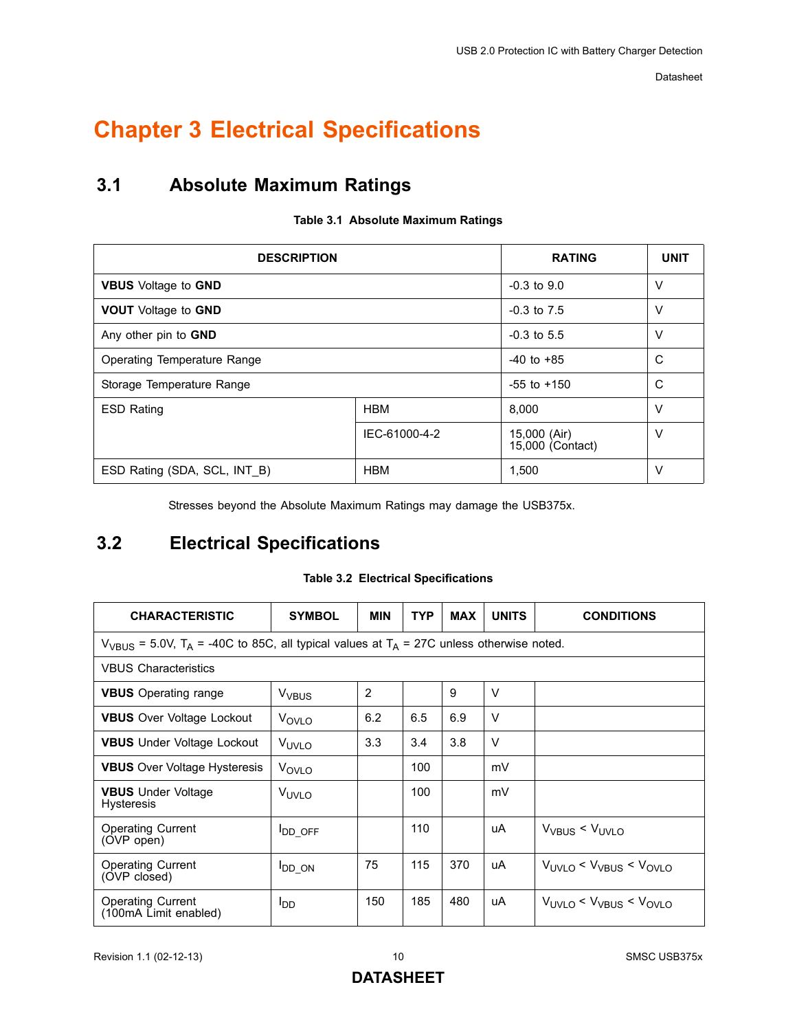# <span id="page-9-0"></span>**Chapter 3 Electrical Specifications**

## <span id="page-9-1"></span>**3.1 Absolute Maximum Ratings**

<span id="page-9-3"></span>

| <b>DESCRIPTION</b>                | <b>RATING</b>   | <b>UNIT</b>                      |        |
|-----------------------------------|-----------------|----------------------------------|--------|
| <b>VBUS</b> Voltage to <b>GND</b> | $-0.3$ to $9.0$ | $\vee$                           |        |
| <b>VOUT</b> Voltage to GND        | $-0.3$ to $7.5$ | $\vee$                           |        |
| Any other pin to GND              | $-0.3$ to 5.5   | V                                |        |
| Operating Temperature Range       | $-40$ to $+85$  | C                                |        |
| Storage Temperature Range         | $-55$ to $+150$ | C                                |        |
| <b>ESD Rating</b>                 | <b>HBM</b>      | 8.000                            | $\vee$ |
|                                   | IEC-61000-4-2   | 15,000 (Air)<br>15,000 (Contact) | ν      |
| ESD Rating (SDA, SCL, INT B)      | <b>HBM</b>      | 1,500                            | v      |

#### <span id="page-9-5"></span>**Table 3.1 Absolute Maximum Ratings**

Stresses beyond the Absolute Maximum Ratings may damage the USB375x.

## <span id="page-9-2"></span>**3.2 Electrical Specifications**

#### **Table 3.2 Electrical Specifications**

<span id="page-9-4"></span>

| <b>CHARACTERISTIC</b>                                                                                                | <b>SYMBOL</b>     | <b>MIN</b>     | <b>TYP</b> | <b>MAX</b> | <b>UNITS</b> | <b>CONDITIONS</b>                    |  |  |
|----------------------------------------------------------------------------------------------------------------------|-------------------|----------------|------------|------------|--------------|--------------------------------------|--|--|
| $V_{VBIIS}$ = 5.0V, T <sub>A</sub> = -40C to 85C, all typical values at T <sub>A</sub> = 27C unless otherwise noted. |                   |                |            |            |              |                                      |  |  |
| <b>VBUS Characteristics</b>                                                                                          |                   |                |            |            |              |                                      |  |  |
| <b>VBUS</b> Operating range                                                                                          | V <sub>VBUS</sub> | $\overline{2}$ |            | 9          | $\vee$       |                                      |  |  |
| <b>VBUS</b> Over Voltage Lockout                                                                                     | V <sub>OVLO</sub> | 6.2            | 6.5        | 6.9        | $\vee$       |                                      |  |  |
| <b>VBUS</b> Under Voltage Lockout                                                                                    | V <sub>UVLO</sub> | 3.3            | 3.4        | 3.8        | $\vee$       |                                      |  |  |
| <b>VBUS</b> Over Voltage Hysteresis                                                                                  | V <sub>OVLO</sub> |                | 100        |            | mV           |                                      |  |  |
| <b>VBUS</b> Under Voltage<br><b>Hysteresis</b>                                                                       | V <sub>UVLO</sub> |                | 100        |            | mV           |                                      |  |  |
| <b>Operating Current</b><br>(OVP open)                                                                               | <b>IDD OFF</b>    |                | 110        |            | uA           | $V_{VBUS}$ < $V_{UVLO}$              |  |  |
| <b>Operating Current</b><br>(OVP closed)                                                                             | <b>I</b> DD_ON    | 75             | 115        | 370        | uA           | $V_{UVLO}$ < $V_{VBUS}$ < $V_{OVLO}$ |  |  |
| <b>Operating Current</b><br>(100mA Limit enabled)                                                                    | ool               | 150            | 185        | 480        | uA           | $V_{UVLO}$ < $V_{VBUS}$ < $V_{OVLO}$ |  |  |

### **DATASHEET**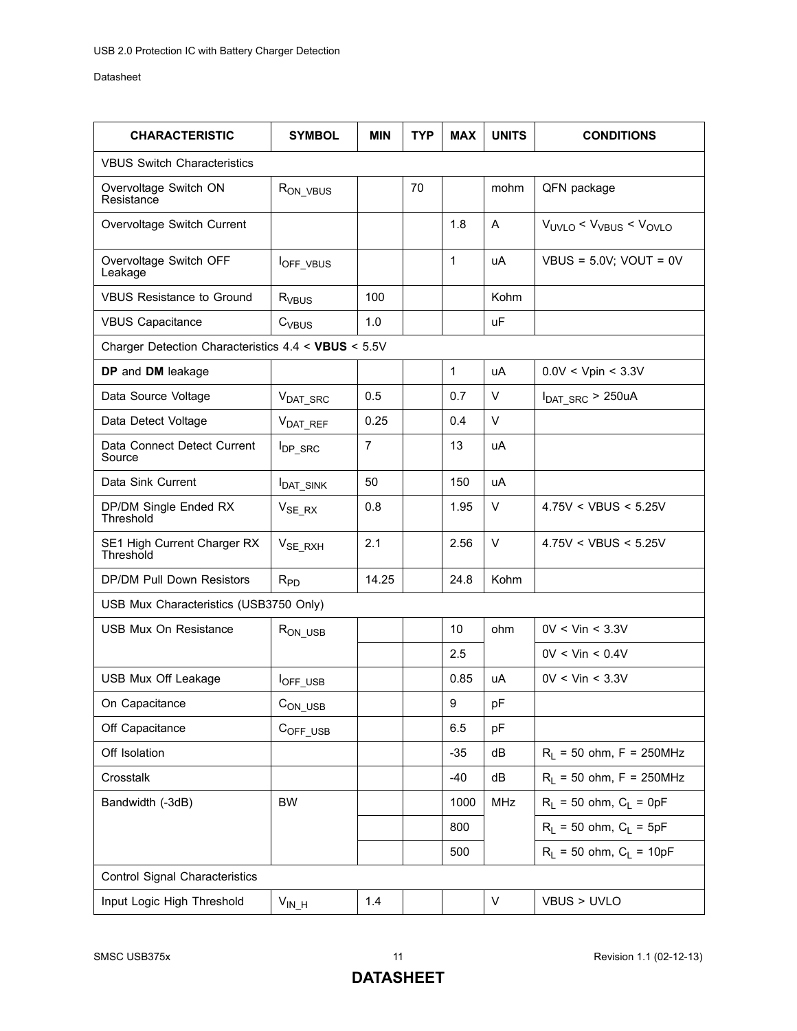| <b>CHARACTERISTIC</b>                               | <b>SYMBOL</b>              | <b>MIN</b>     | <b>TYP</b> | <b>MAX</b>   | <b>UNITS</b> | <b>CONDITIONS</b>                                         |
|-----------------------------------------------------|----------------------------|----------------|------------|--------------|--------------|-----------------------------------------------------------|
| <b>VBUS Switch Characteristics</b>                  |                            |                |            |              |              |                                                           |
| Overvoltage Switch ON<br>Resistance                 | R <sub>ON_VBUS</sub>       |                | 70         |              | mohm         | QFN package                                               |
| Overvoltage Switch Current                          |                            |                |            | 1.8          | A            | V <sub>UVLO</sub> < V <sub>VBUS</sub> < V <sub>OVLO</sub> |
| Overvoltage Switch OFF<br>Leakage                   | <b>I</b> OFF_VBUS          |                |            | $\mathbf{1}$ | uA           | VBUS = $5.0V$ ; VOUT = $0V$                               |
| <b>VBUS Resistance to Ground</b>                    | R <sub>VBUS</sub>          | 100            |            |              | Kohm         |                                                           |
| <b>VBUS Capacitance</b>                             | $C_{VBUS}$                 | 1.0            |            |              | <b>uF</b>    |                                                           |
| Charger Detection Characteristics 4.4 < VBUS < 5.5V |                            |                |            |              |              |                                                           |
| DP and DM leakage                                   |                            |                |            | 1            | uA           | 0.0V < Vpin < 3.3V                                        |
| Data Source Voltage                                 | V <sub>DAT_SRC</sub>       | 0.5            |            | 0.7          | V            | $I_{DAT \, SRC}$ > 250uA                                  |
| Data Detect Voltage                                 | V <sub>DAT REF</sub>       | 0.25           |            | 0.4          | V            |                                                           |
| Data Connect Detect Current<br>Source               | <b>I</b> <sub>DP_SRC</sub> | $\overline{7}$ |            | 13           | uA           |                                                           |
| Data Sink Current                                   | <b>I</b> DAT_SINK          | 50             |            | 150          | uA           |                                                           |
| DP/DM Single Ended RX<br>Threshold                  | $V_{SE RX}$                | 0.8            |            | 1.95         | V            | 4.75V < VBUS < 5.25V                                      |
| SE1 High Current Charger RX<br>Threshold            | $V_{SE\_RXH}$              | 2.1            |            | 2.56         | V            | 4.75V < VBUS < 5.25V                                      |
| DP/DM Pull Down Resistors                           | $R_{PD}$                   | 14.25          |            | 24.8         | Kohm         |                                                           |
| USB Mux Characteristics (USB3750 Only)              |                            |                |            |              |              |                                                           |
| <b>USB Mux On Resistance</b>                        | $R_{ON\_USE}$              |                |            | 10           | ohm          | $0V <$ Vin $<$ 3.3V                                       |
|                                                     |                            |                |            | 2.5          |              | $0V <$ Vin $< 0.4V$                                       |
| USB Mux Off Leakage                                 | <b>I</b> OFF_USB           |                |            | 0.85         | uA           | $0V <$ Vin $<$ 3.3V                                       |
| On Capacitance                                      | $CON_USB$                  |                |            | 9            | pF           |                                                           |
| Off Capacitance                                     | COFF USB                   |                |            | 6.5          | pF           |                                                           |
| Off Isolation                                       |                            |                |            | $-35$        | dB           | $R_1$ = 50 ohm, F = 250MHz                                |
| Crosstalk                                           |                            |                |            | $-40$        | dB           | $R_1$ = 50 ohm, F = 250MHz                                |
| Bandwidth (-3dB)                                    | <b>BW</b>                  |                |            | 1000         | MHz          | $R_1 = 50$ ohm, $C_1 = 0pF$                               |
|                                                     |                            |                |            | 800          |              | $R_L$ = 50 ohm, $C_L$ = 5pF                               |
|                                                     |                            |                |            | 500          |              | $R_L$ = 50 ohm, $C_L$ = 10pF                              |
| Control Signal Characteristics                      |                            |                |            |              |              |                                                           |
| Input Logic High Threshold                          | $V_{IN\_H}$                | 1.4            |            |              | V            | VBUS > UVLO                                               |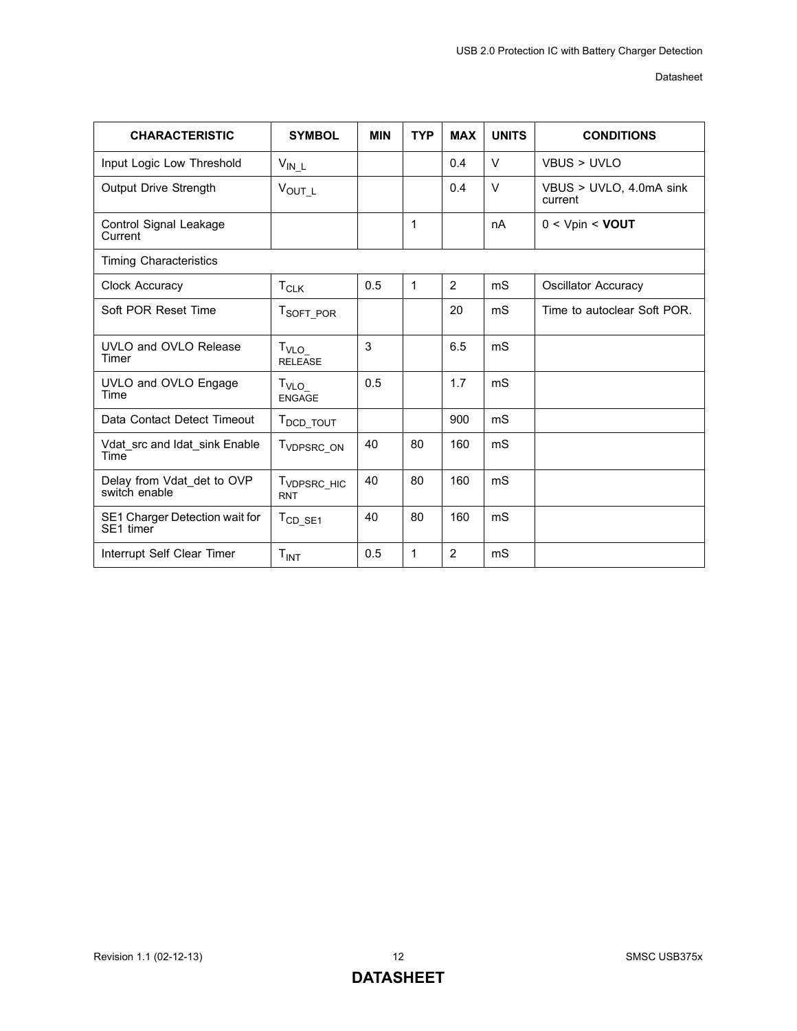| <b>CHARACTERISTIC</b>                       | <b>SYMBOL</b>                         | <b>MIN</b> | <b>TYP</b>   | <b>MAX</b>     | <b>UNITS</b>   | <b>CONDITIONS</b>                  |
|---------------------------------------------|---------------------------------------|------------|--------------|----------------|----------------|------------------------------------|
| Input Logic Low Threshold                   | $V_{IN\_L}$                           |            |              | 0.4            | V              | VBUS > UVLO                        |
| Output Drive Strength                       | $V_{OUT\_L}$                          |            |              | 0.4            | V              | VBUS > UVLO, 4.0mA sink<br>current |
| Control Signal Leakage<br>Current           |                                       |            | 1            |                | nA             | $0 < V$ pin < <b>VOUT</b>          |
| <b>Timing Characteristics</b>               |                                       |            |              |                |                |                                    |
| Clock Accuracy                              | $T_{CLK}$                             | 0.5        | $\mathbf{1}$ | $\overline{2}$ | mS             | Oscillator Accuracy                |
| Soft POR Reset Time                         | T <sub>SOFT_POR</sub>                 |            |              | 20             | mS             | Time to autoclear Soft POR.        |
| UVLO and OVLO Release<br>Timer              | $T_{\text{VLO}}$<br><b>RELEASE</b>    | 3          |              | 6.5            | mS             |                                    |
| UVLO and OVLO Engage<br>Time                | $T_{\text{VLO}}$<br><b>ENGAGE</b>     | 0.5        |              | 1.7            | m <sub>S</sub> |                                    |
| Data Contact Detect Timeout                 | T <sub>DCD</sub> _TOUT                |            |              | 900            | m <sub>S</sub> |                                    |
| Vdat src and Idat sink Enable<br>Time       | T <sub>VDPSRC_ON</sub>                | 40         | 80           | 160            | mS             |                                    |
| Delay from Vdat det to OVP<br>switch enable | T <sub>VDPSRC_HIC</sub><br><b>RNT</b> | 40         | 80           | 160            | mS             |                                    |
| SE1 Charger Detection wait for<br>SE1 timer | $T_{CD\_SE1}$                         | 40         | 80           | 160            | m <sub>S</sub> |                                    |
| Interrupt Self Clear Timer                  | T <sub>INT</sub>                      | 0.5        | 1            | 2              | mS             |                                    |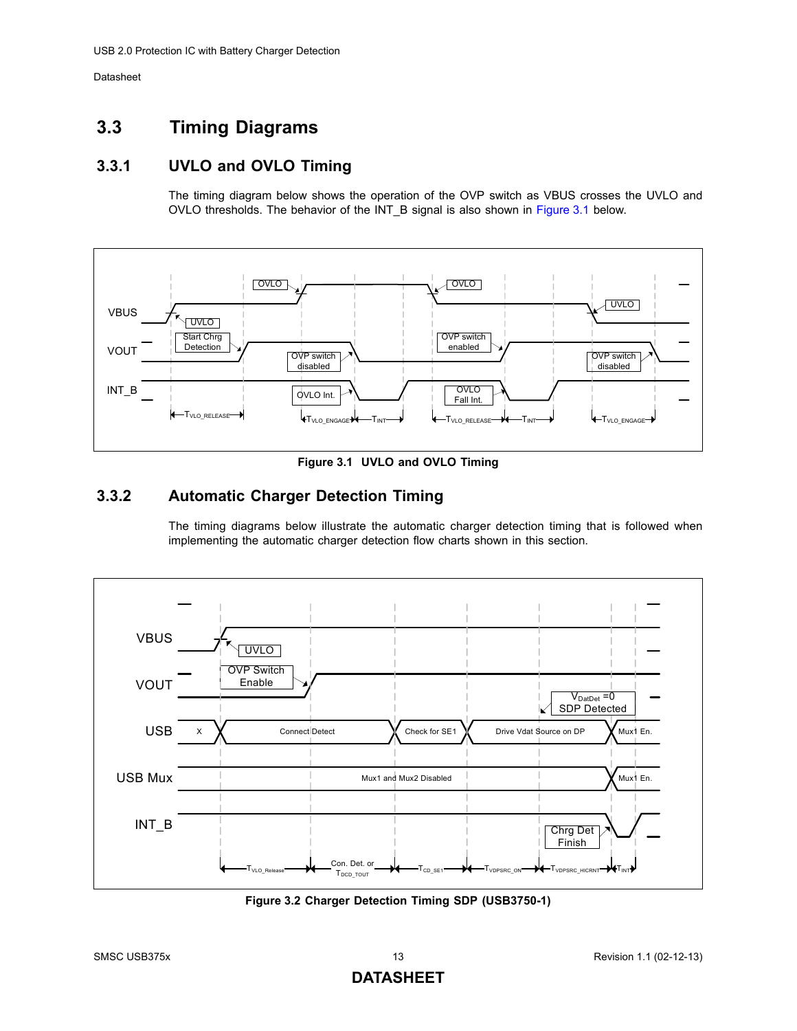## <span id="page-12-5"></span><span id="page-12-0"></span>**3.3 Timing Diagrams**

## <span id="page-12-1"></span>**3.3.1 UVLO and OVLO Timing**

The timing diagram below shows the operation of the OVP switch as VBUS crosses the UVLO and OVLO thresholds. The behavior of the INT\_B signal is also shown in [Figure 3.1](#page-12-3) below.



**Figure 3.1 UVLO and OVLO Timing**

### <span id="page-12-3"></span><span id="page-12-2"></span>**3.3.2 Automatic Charger Detection Timing**

<span id="page-12-6"></span>The timing diagrams below illustrate the automatic charger detection timing that is followed when implementing the automatic charger detection flow charts shown in this section.



<span id="page-12-4"></span>**Figure 3.2 Charger Detection Timing SDP (USB3750-1)**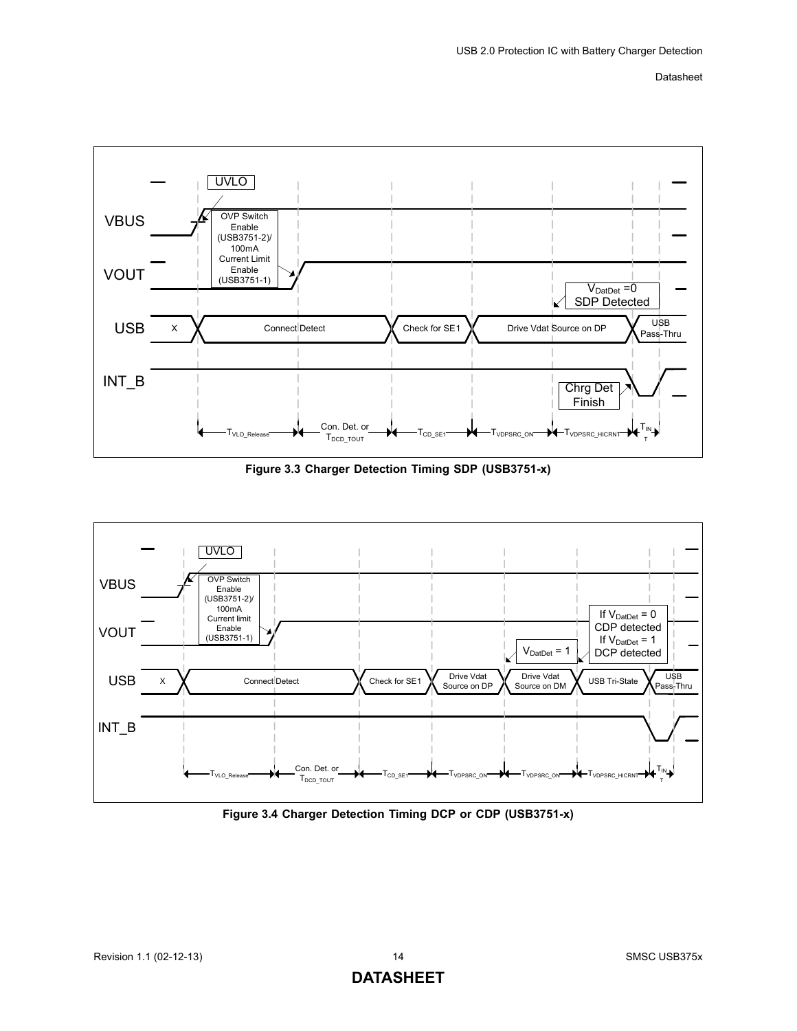

**Figure 3.3 Charger Detection Timing SDP (USB3751-x)**

<span id="page-13-0"></span>

<span id="page-13-1"></span>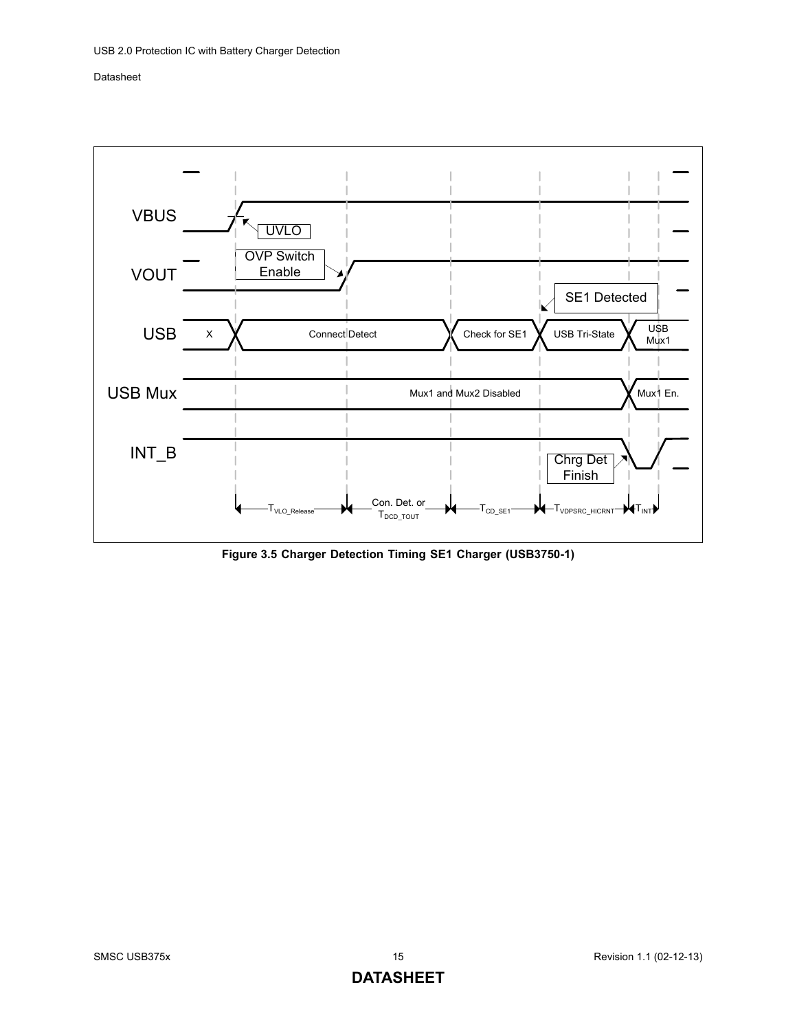

<span id="page-14-0"></span>**Figure 3.5 Charger Detection Timing SE1 Charger (USB3750-1)**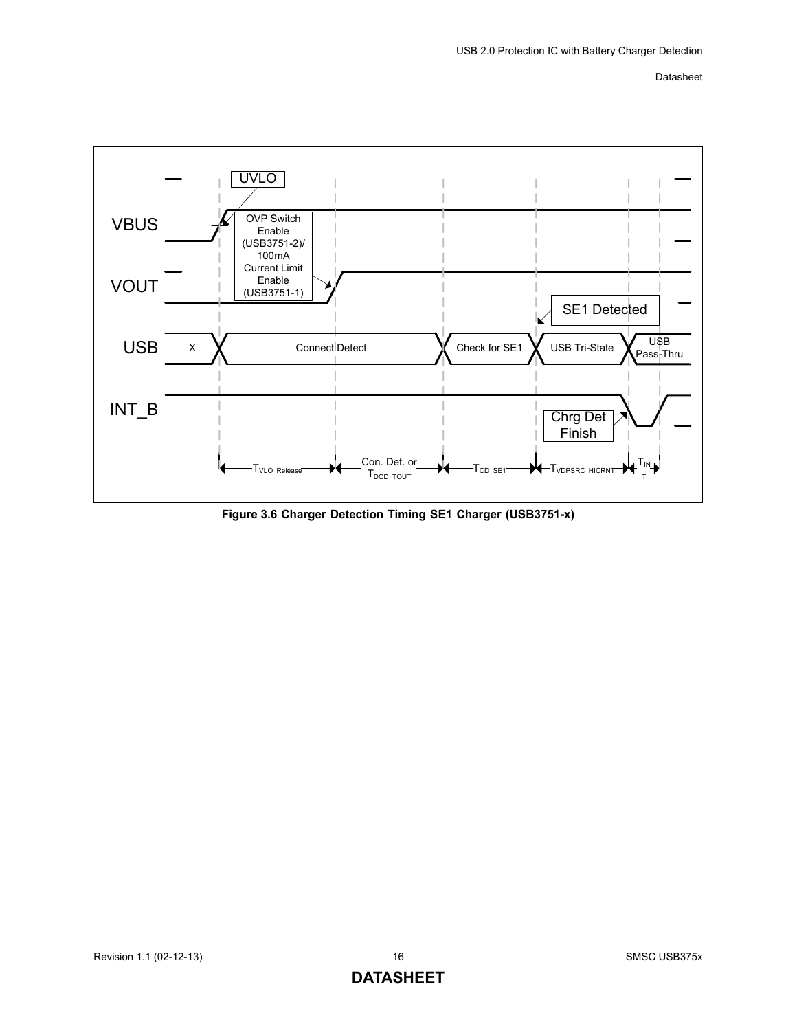

<span id="page-15-0"></span>**Figure 3.6 Charger Detection Timing SE1 Charger (USB3751-x)**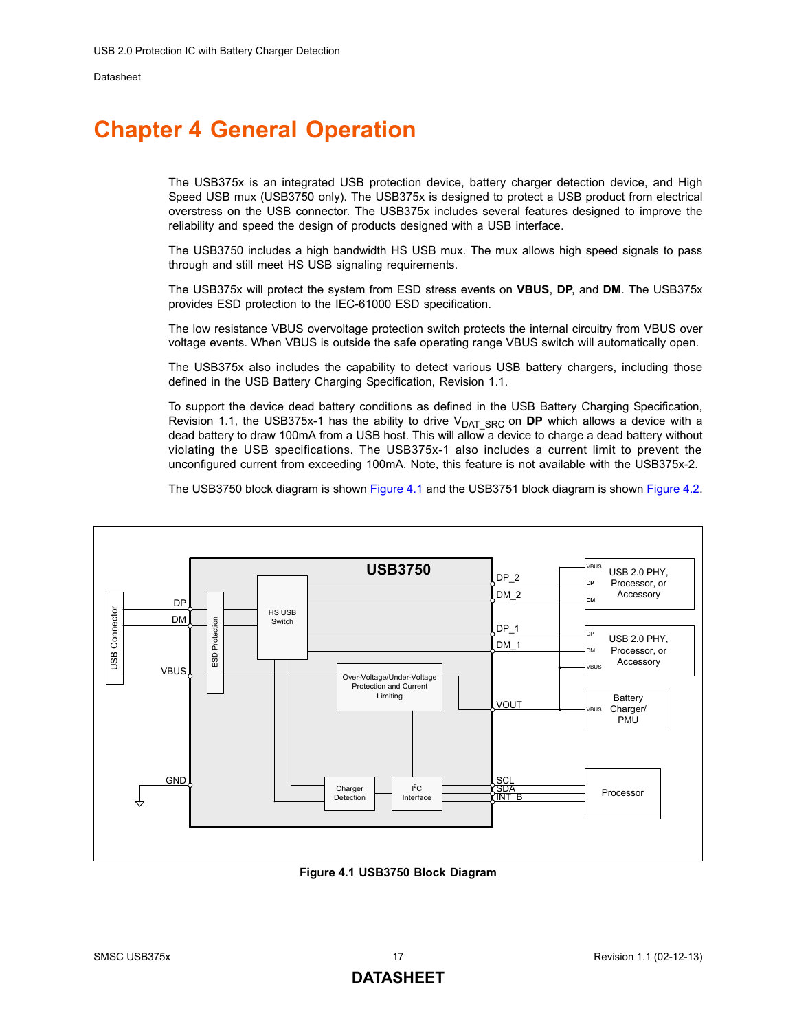## <span id="page-16-0"></span>**Chapter 4 General Operation**

The USB375x is an integrated USB protection device, battery charger detection device, and High Speed USB mux (USB3750 only). The USB375x is designed to protect a USB product from electrical overstress on the USB connector. The USB375x includes several features designed to improve the reliability and speed the design of products designed with a USB interface.

The USB3750 includes a high bandwidth HS USB mux. The mux allows high speed signals to pass through and still meet HS USB signaling requirements.

The USB375x will protect the system from ESD stress events on **VBUS**, **DP**, and **DM**. The USB375x provides ESD protection to the IEC-61000 ESD specification.

The low resistance VBUS overvoltage protection switch protects the internal circuitry from VBUS over voltage events. When VBUS is outside the safe operating range VBUS switch will automatically open.

The USB375x also includes the capability to detect various USB battery chargers, including those defined in the USB Battery Charging Specification, Revision 1.1.

To support the device dead battery conditions as defined in the USB Battery Charging Specification, Revision 1.1, the USB375x-1 has the ability to drive V<sub>DAT SRC</sub> on **DP** which allows a device with a dead battery to draw 100mA from a USB host. This will allow a device to charge a dead battery without violating the USB specifications. The USB375x-1 also includes a current limit to prevent the unconfigured current from exceeding 100mA. Note, this feature is not available with the USB375x-2.

The USB3750 block diagram is shown [Figure 4.1](#page-16-1) and the USB3751 block diagram is shown [Figure 4.2.](#page-17-2)



<span id="page-16-1"></span>**Figure 4.1 USB3750 Block Diagram**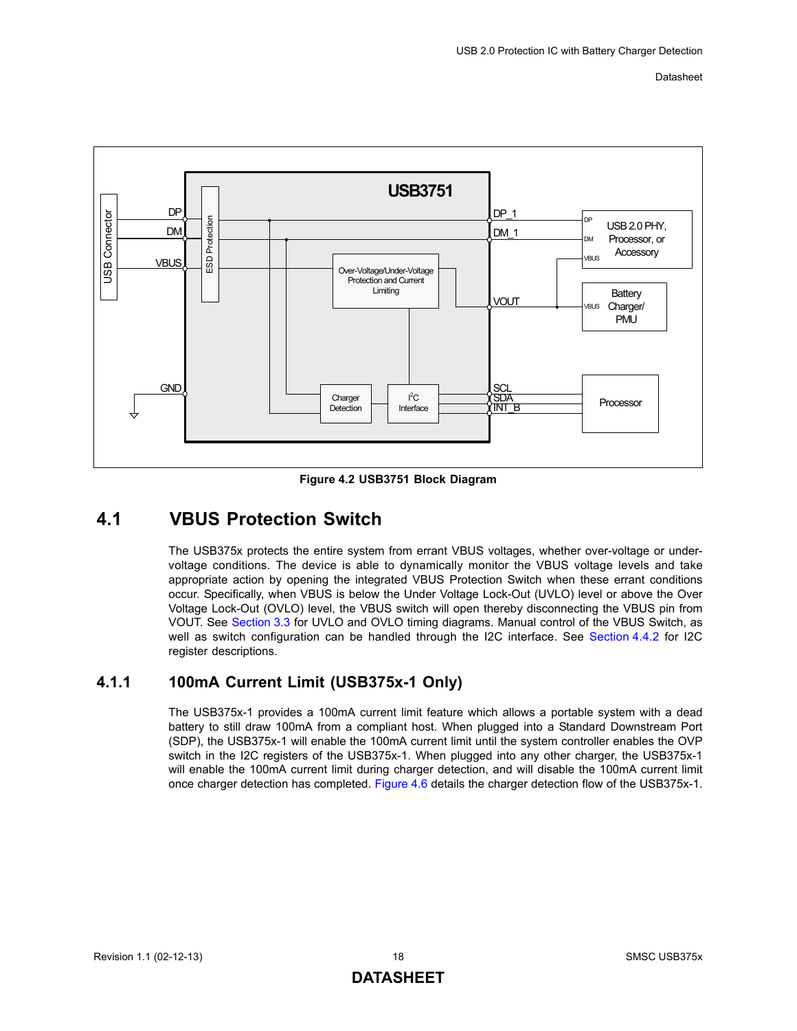

**Figure 4.2 USB3751 Block Diagram**

## <span id="page-17-2"></span><span id="page-17-0"></span>**4.1 VBUS Protection Switch**

The USB375x protects the entire system from errant VBUS voltages, whether over-voltage or undervoltage conditions. The device is able to dynamically monitor the VBUS voltage levels and take appropriate action by opening the integrated VBUS Protection Switch when these errant conditions occur. Specifically, when VBUS is below the Under Voltage Lock-Out (UVLO) level or above the Over Voltage Lock-Out (OVLO) level, the VBUS switch will open thereby disconnecting the VBUS pin from VOUT. See [Section 3.3](#page-12-5) for UVLO and OVLO timing diagrams. Manual control of the VBUS Switch, as well as switch configuration can be handled through the I2C interface. See [Section 4.4.2](#page-23-3) for I2C register descriptions.

### <span id="page-17-1"></span>**4.1.1 100mA Current Limit (USB375x-1 Only)**

The USB375x-1 provides a 100mA current limit feature which allows a portable system with a dead battery to still draw 100mA from a compliant host. When plugged into a Standard Downstream Port (SDP), the USB375x-1 will enable the 100mA current limit until the system controller enables the OVP switch in the I2C registers of the USB375x-1. When plugged into any other charger, the USB375x-1 will enable the 100mA current limit during charger detection, and will disable the 100mA current limit once charger detection has completed. [Figure 4.6](#page-22-0) details the charger detection flow of the USB375x-1.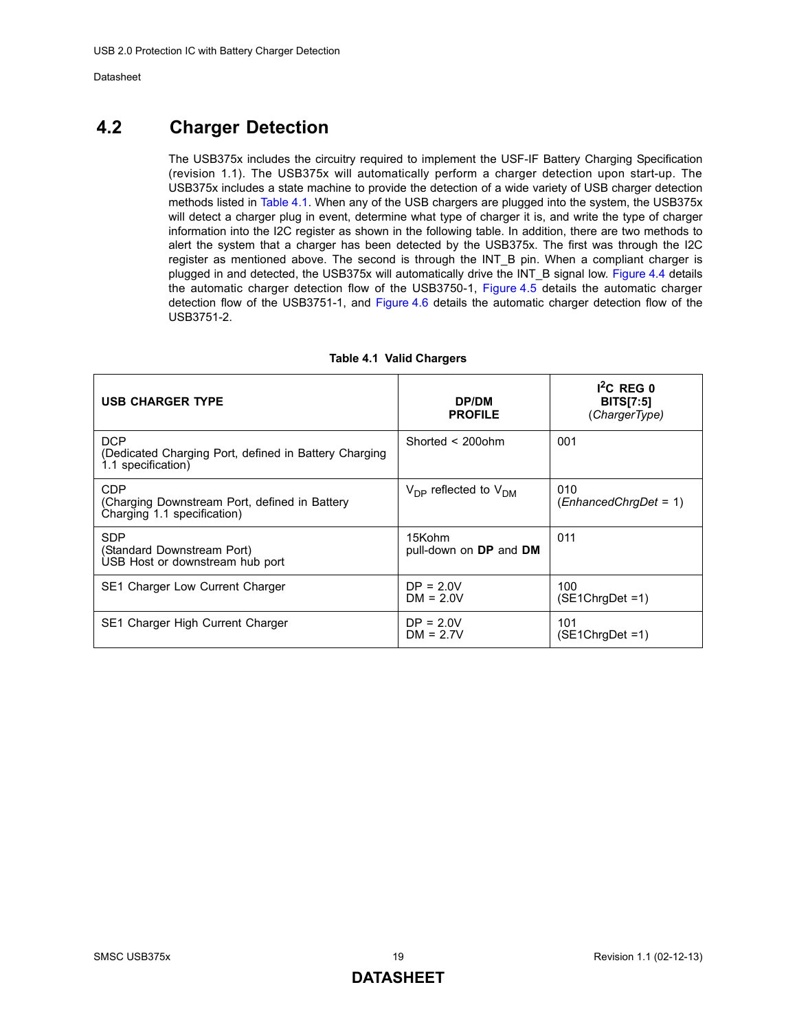## <span id="page-18-0"></span>**4.2 Charger Detection**

The USB375x includes the circuitry required to implement the USF-IF Battery Charging Specification (revision 1.1). The USB375x will automatically perform a charger detection upon start-up. The USB375x includes a state machine to provide the detection of a wide variety of USB charger detection methods listed in [Table 4.1.](#page-18-1) When any of the USB chargers are plugged into the system, the USB375x will detect a charger plug in event, determine what type of charger it is, and write the type of charger information into the I2C register as shown in the following table. In addition, there are two methods to alert the system that a charger has been detected by the USB375x. The first was through the I2C register as mentioned above. The second is through the INT\_B pin. When a compliant charger is plugged in and detected, the USB375x will automatically drive the INT\_B signal low. [Figure 4.4](#page-20-1) details the automatic charger detection flow of the USB3750-1, [Figure 4.5](#page-21-0) details the automatic charger detection flow of the USB3751-1, and [Figure 4.6](#page-22-0) details the automatic charger detection flow of the USB3751-2.

<span id="page-18-1"></span>

| <b>USB CHARGER TYPE</b>                                                                   | DP/DM<br><b>PROFILE</b>                      | $I^2C$ REG 0<br><b>BITS[7:5]</b><br>(ChargerType) |
|-------------------------------------------------------------------------------------------|----------------------------------------------|---------------------------------------------------|
| <b>DCP</b><br>(Dedicated Charging Port, defined in Battery Charging<br>1.1 specification) | Shorted $\leq$ 2000hm                        | 001                                               |
| CDP<br>(Charging Downstream Port, defined in Battery)<br>Charging 1.1 specification)      | $V_{\text{DP}}$ reflected to $V_{\text{DM}}$ | 010<br>$(EnhancedChrqDet = 1)$                    |
| <b>SDP</b><br>(Standard Downstream Port)<br>USB Host or downstream hub port               | 15Kohm<br>pull-down on DP and DM             | 011                                               |
| SE1 Charger Low Current Charger                                                           | $DP = 2.0V$<br>$DM = 2.0V$                   | 100<br>$(SE1ChrqDet = 1)$                         |
| SE1 Charger High Current Charger                                                          | $DP = 2.0V$<br>$DM = 2.7V$                   | 101<br>$(SE1ChrgDet = 1)$                         |

#### **Table 4.1 Valid Chargers**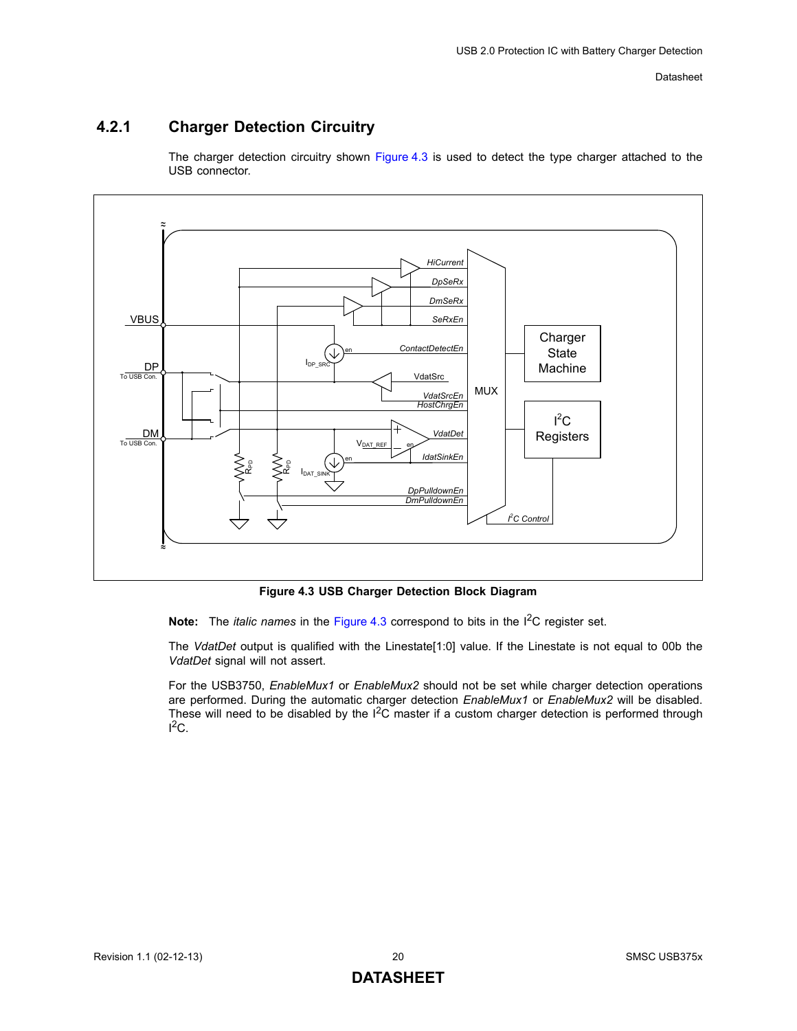### <span id="page-19-0"></span>**4.2.1 Charger Detection Circuitry**

The charger detection circuitry shown [Figure 4.3](#page-19-1) is used to detect the type charger attached to the USB connector.



**Figure 4.3 USB Charger Detection Block Diagram** 

<span id="page-19-1"></span>**Note:** The *italic names* in the [Figure 4.3](#page-19-1) correspond to bits in the I<sup>2</sup>C register set.

The *VdatDet* output is qualified with the Linestate[1:0] value. If the Linestate is not equal to 00b the *VdatDet* signal will not assert.

For the USB3750, *EnableMux1* or *EnableMux2* should not be set while charger detection operations are performed. During the automatic charger detection *EnableMux1* or *EnableMux2* will be disabled. These will need to be disabled by the  $I^2C$  master if a custom charger detection is performed through  ${}^{12}C.$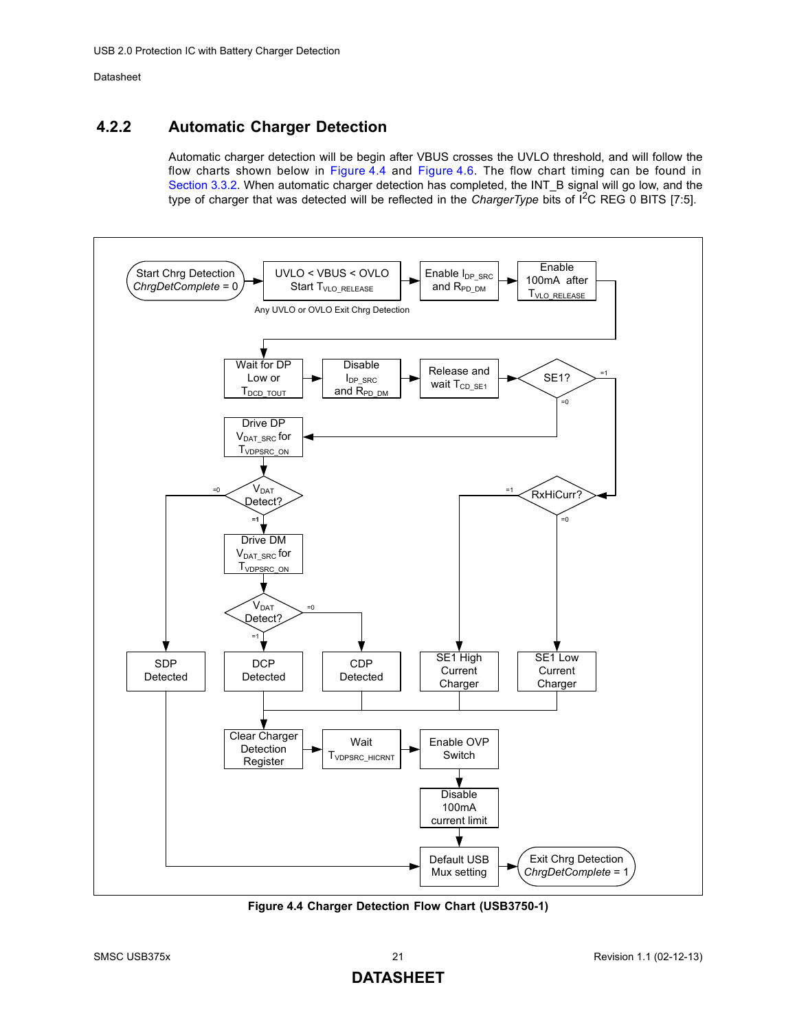### <span id="page-20-0"></span>**4.2.2 Automatic Charger Detection**

Automatic charger detection will be begin after VBUS crosses the UVLO threshold, and will follow the flow charts shown below in [Figure 4.4](#page-20-1) and [Figure 4.6](#page-22-0). The flow chart timing can be found in [Section 3.3.2](#page-12-6). When automatic charger detection has completed, the INT\_B signal will go low, and the type of charger that was detected will be reflected in the *ChargerType* bits of I<sup>2</sup>C REG 0 BITS [7:5].



<span id="page-20-1"></span>**Figure 4.4 Charger Detection Flow Chart (USB3750-1)**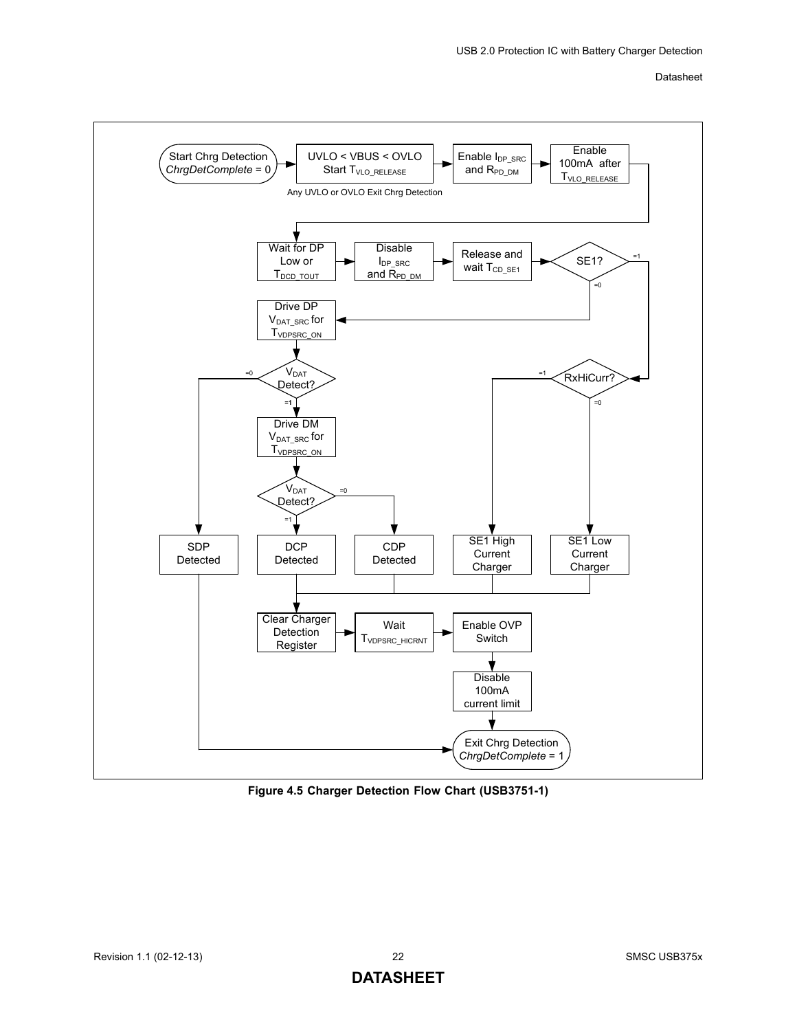

<span id="page-21-0"></span>**Figure 4.5 Charger Detection Flow Chart (USB3751-1)**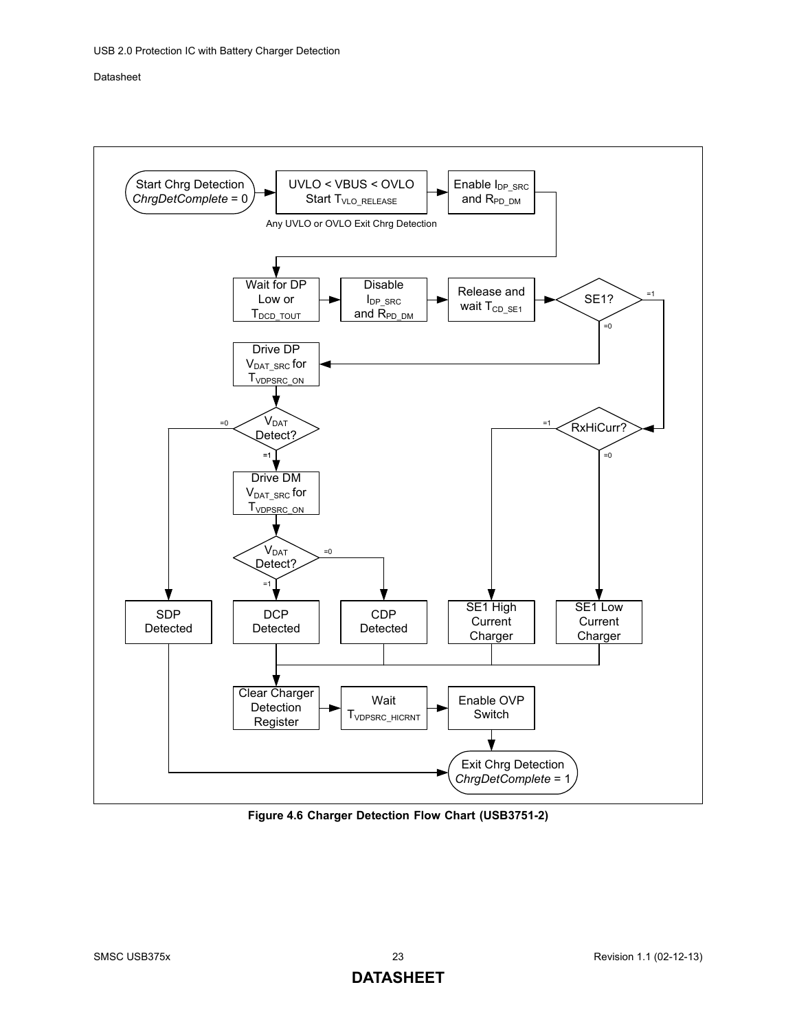

<span id="page-22-0"></span>**Figure 4.6 Charger Detection Flow Chart (USB3751-2)**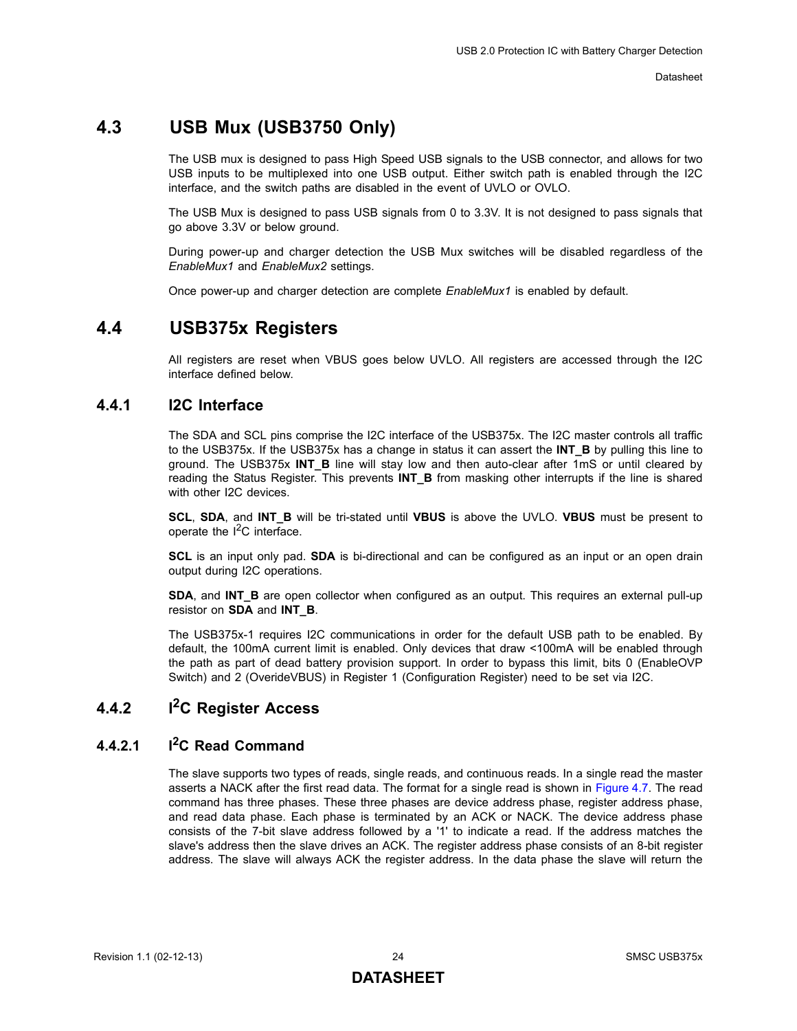## <span id="page-23-0"></span>**4.3 USB Mux (USB3750 Only)**

The USB mux is designed to pass High Speed USB signals to the USB connector, and allows for two USB inputs to be multiplexed into one USB output. Either switch path is enabled through the I2C interface, and the switch paths are disabled in the event of UVLO or OVLO.

The USB Mux is designed to pass USB signals from 0 to 3.3V. It is not designed to pass signals that go above 3.3V or below ground.

During power-up and charger detection the USB Mux switches will be disabled regardless of the *EnableMux1* and *EnableMux2* settings.

Once power-up and charger detection are complete *EnableMux1* is enabled by default.

### <span id="page-23-1"></span>**4.4 USB375x Registers**

<span id="page-23-5"></span>All registers are reset when VBUS goes below UVLO. All registers are accessed through the I2C interface defined below.

### <span id="page-23-2"></span>**4.4.1 I2C Interface**

The SDA and SCL pins comprise the I2C interface of the USB375x. The I2C master controls all traffic to the USB375x. If the USB375x has a change in status it can assert the **INT\_B** by pulling this line to ground. The USB375x **INT\_B** line will stay low and then auto-clear after 1mS or until cleared by reading the Status Register. This prevents **INT B** from masking other interrupts if the line is shared with other I2C devices.

**SCL**, **SDA**, and **INT\_B** will be tri-stated until **VBUS** is above the UVLO. **VBUS** must be present to operate the  $I^2C$  interface.

**SCL** is an input only pad. **SDA** is bi-directional and can be configured as an input or an open drain output during I2C operations.

**SDA**, and **INT\_B** are open collector when configured as an output. This requires an external pull-up resistor on **SDA** and **INT\_B**.

The USB375x-1 requires I2C communications in order for the default USB path to be enabled. By default, the 100mA current limit is enabled. Only devices that draw <100mA will be enabled through the path as part of dead battery provision support. In order to bypass this limit, bits 0 (EnableOVP Switch) and 2 (OverideVBUS) in Register 1 (Configuration Register) need to be set via I2C.

#### <span id="page-23-3"></span>**4.4.2 I2C Register Access**

#### <span id="page-23-4"></span>**4.4.2.1 I2C Read Command**

The slave supports two types of reads, single reads, and continuous reads. In a single read the master asserts a NACK after the first read data. The format for a single read is shown in [Figure 4.7](#page-24-0). The read command has three phases. These three phases are device address phase, register address phase, and read data phase. Each phase is terminated by an ACK or NACK. The device address phase consists of the 7-bit slave address followed by a '1' to indicate a read. If the address matches the slave's address then the slave drives an ACK. The register address phase consists of an 8-bit register address. The slave will always ACK the register address. In the data phase the slave will return the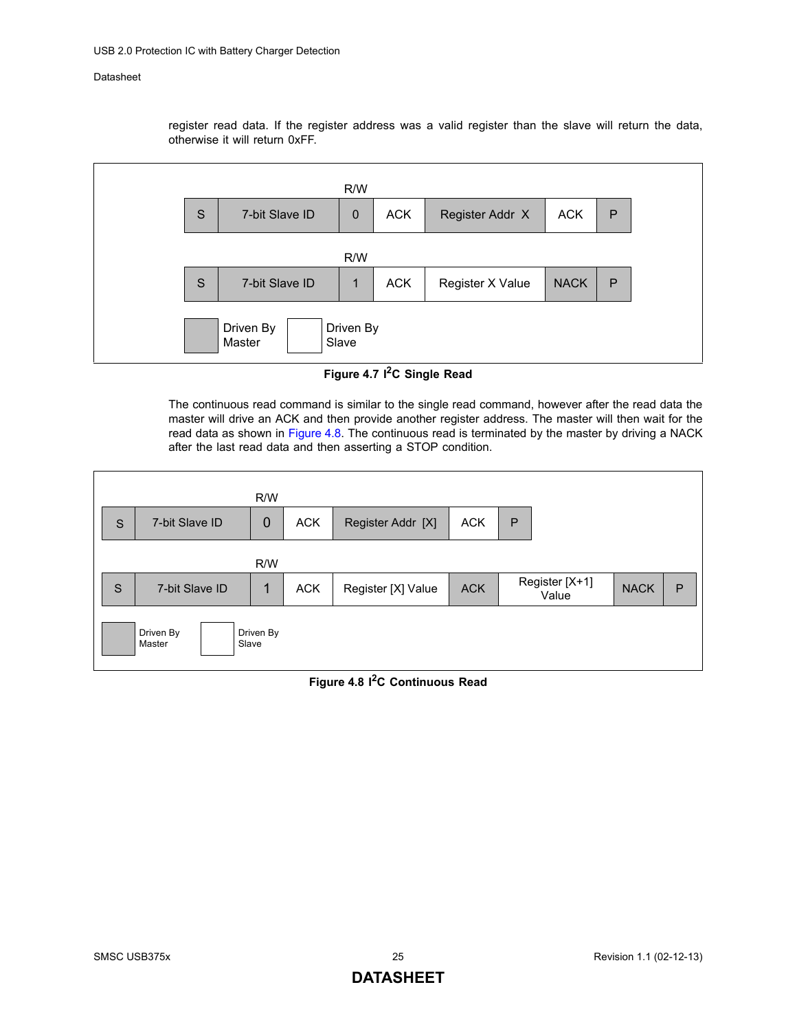register read data. If the register address was a valid register than the slave will return the data, otherwise it will return 0xFF.



**Figure 4.7 I2C Single Read**

<span id="page-24-0"></span>The continuous read command is similar to the single read command, however after the read data the master will drive an ACK and then provide another register address. The master will then wait for the read data as shown in [Figure 4.8](#page-24-1). The continuous read is terminated by the master by driving a NACK after the last read data and then asserting a STOP condition.

<span id="page-24-1"></span>

#### **Figure 4.8 I2C Continuous Read**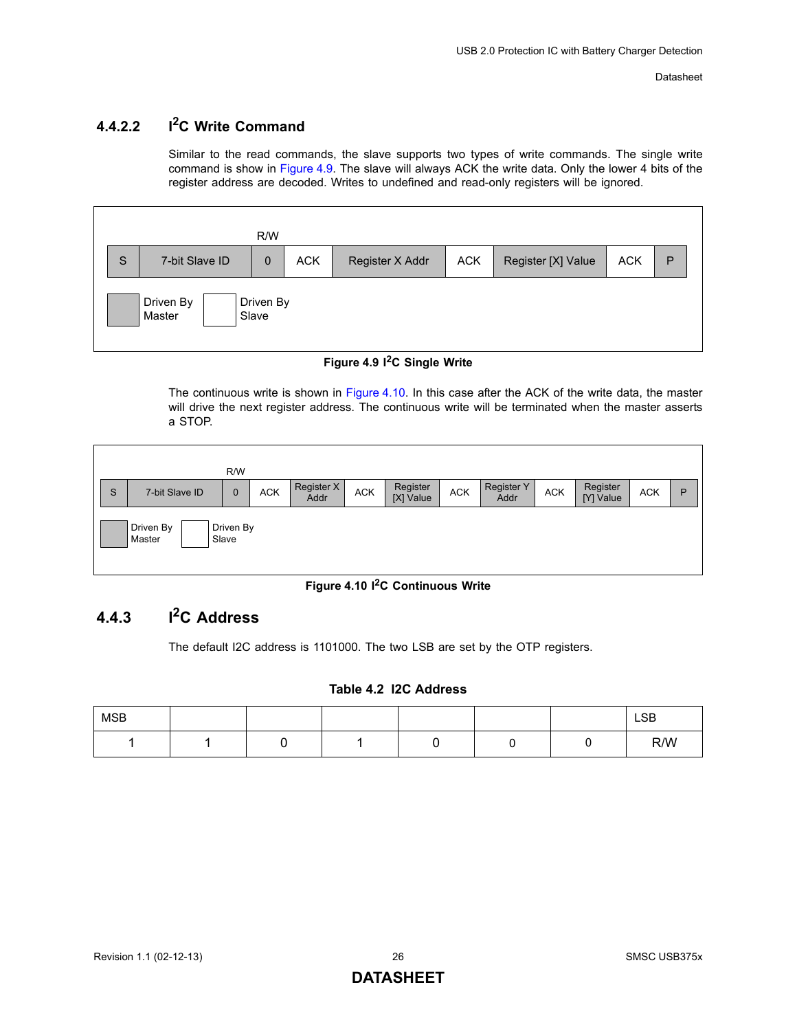#### <span id="page-25-0"></span>**4.4.2.2 I2C Write Command**

Similar to the read commands, the slave supports two types of write commands. The single write command is show in [Figure 4.9.](#page-25-2) The slave will always ACK the write data. Only the lower 4 bits of the register address are decoded. Writes to undefined and read-only registers will be ignored.



#### **Figure 4.9 I2C Single Write**

<span id="page-25-2"></span>The continuous write is shown in [Figure 4.10](#page-25-3). In this case after the ACK of the write data, the master will drive the next register address. The continuous write will be terminated when the master asserts a STOP.



#### **Figure 4.10 I2C Continuous Write**

## <span id="page-25-3"></span><span id="page-25-1"></span>**4.4.3 I2C Address**

The default I2C address is 1101000. The two LSB are set by the OTP registers.

#### **Table 4.2 I2C Address**

| <b>MSB</b> |  |  |  | <b>LSB</b> |
|------------|--|--|--|------------|
|            |  |  |  | R/W        |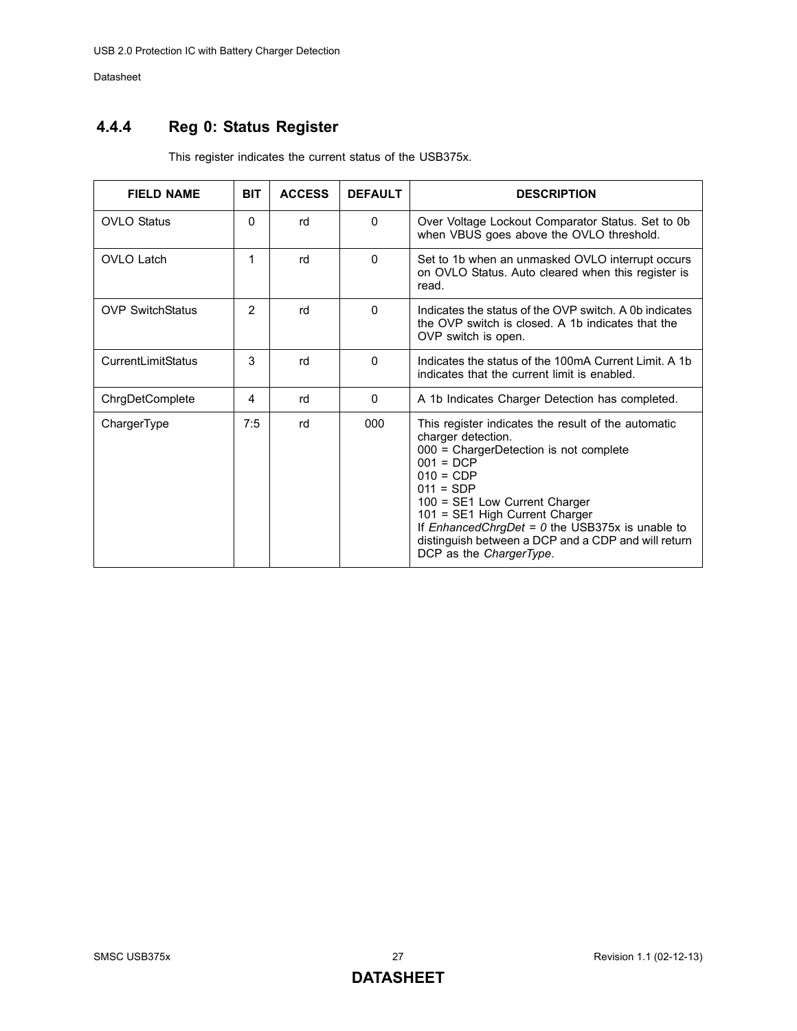## <span id="page-26-0"></span>**4.4.4 Reg 0: Status Register**

| <b>FIELD NAME</b>       | <b>BIT</b> | <b>ACCESS</b> | <b>DEFAULT</b> | <b>DESCRIPTION</b>                                                                                                                                                                                                                                                                                                                                                         |
|-------------------------|------------|---------------|----------------|----------------------------------------------------------------------------------------------------------------------------------------------------------------------------------------------------------------------------------------------------------------------------------------------------------------------------------------------------------------------------|
| <b>OVLO Status</b>      | $\Omega$   | rd            | $\Omega$       | Over Voltage Lockout Comparator Status. Set to 0b<br>when VBUS goes above the OVLO threshold.                                                                                                                                                                                                                                                                              |
| <b>OVLO Latch</b>       | 1          | rd            | $\Omega$       | Set to 1b when an unmasked OVLO interrupt occurs<br>on OVLO Status. Auto cleared when this register is<br>read.                                                                                                                                                                                                                                                            |
| <b>OVP SwitchStatus</b> | 2          | rd            | $\Omega$       | Indicates the status of the OVP switch. A 0b indicates<br>the OVP switch is closed. A 1b indicates that the<br>OVP switch is open.                                                                                                                                                                                                                                         |
| CurrentLimitStatus      | 3          | rd            | $\Omega$       | Indicates the status of the 100mA Current Limit. A 1b<br>indicates that the current limit is enabled.                                                                                                                                                                                                                                                                      |
| ChrgDetComplete         | 4          | rd            | $\mathbf{0}$   | A 1b Indicates Charger Detection has completed.                                                                                                                                                                                                                                                                                                                            |
| ChargerType             | 7:5        | rd            | 000            | This register indicates the result of the automatic<br>charger detection.<br>000 = ChargerDetection is not complete<br>$001 = DCP$<br>$010 = CDP$<br>$011 = SDP$<br>100 = SE1 Low Current Charger<br>101 = SE1 High Current Charger<br>If EnhancedChrgDet = $0$ the USB375x is unable to<br>distinguish between a DCP and a CDP and will return<br>DCP as the ChargerType. |

This register indicates the current status of the USB375x.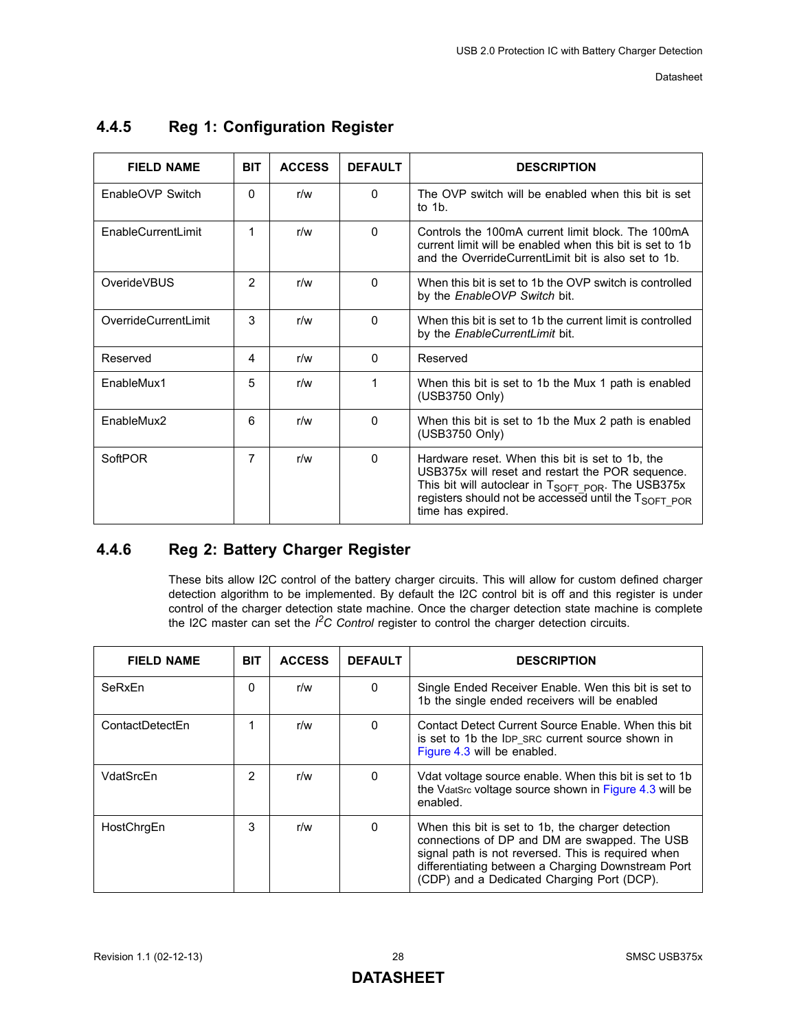| <b>FIELD NAME</b>    | <b>BIT</b>     | <b>ACCESS</b> | <b>DEFAULT</b> | <b>DESCRIPTION</b>                                                                                                                                                                                                                                             |
|----------------------|----------------|---------------|----------------|----------------------------------------------------------------------------------------------------------------------------------------------------------------------------------------------------------------------------------------------------------------|
| EnableOVP Switch     | 0              | r/w           | 0              | The OVP switch will be enabled when this bit is set<br>to $1b$ .                                                                                                                                                                                               |
| EnableCurrentLimit   | 1              | r/w           | $\Omega$       | Controls the 100mA current limit block. The 100mA<br>current limit will be enabled when this bit is set to 1b<br>and the OverrideCurrentl imit bit is also set to 1b.                                                                                          |
| OverideVBUS          | $\overline{2}$ | r/w           | $\Omega$       | When this bit is set to 1b the OVP switch is controlled<br>by the EnableOVP Switch bit.                                                                                                                                                                        |
| OverrideCurrentLimit | 3              | r/w           | $\Omega$       | When this bit is set to 1b the current limit is controlled<br>by the <i>EnableCurrentLimit</i> bit.                                                                                                                                                            |
| Reserved             | 4              | r/w           | $\Omega$       | Reserved                                                                                                                                                                                                                                                       |
| EnableMux1           | 5              | r/w           | 1              | When this bit is set to 1b the Mux 1 path is enabled<br>(USB3750 Only)                                                                                                                                                                                         |
| EnableMux2           | 6              | r/w           | $\Omega$       | When this bit is set to 1b the Mux 2 path is enabled<br>(USB3750 Only)                                                                                                                                                                                         |
| SoftPOR              | 7              | r/w           | 0              | Hardware reset. When this bit is set to 1b, the<br>USB375x will reset and restart the POR sequence.<br>This bit will autoclear in T <sub>SOFT POR</sub> . The USB375x<br>registers should not be accessed until the T <sub>SOFT POR</sub><br>time has expired. |

### <span id="page-27-0"></span>**4.4.5 Reg 1: Configuration Register**

### <span id="page-27-1"></span>**4.4.6 Reg 2: Battery Charger Register**

These bits allow I2C control of the battery charger circuits. This will allow for custom defined charger detection algorithm to be implemented. By default the I2C control bit is off and this register is under control of the charger detection state machine. Once the charger detection state machine is complete the I2C master can set the *I2C Control* register to control the charger detection circuits.

| <b>FIELD NAME</b> | <b>BIT</b>     | <b>ACCESS</b> | <b>DEFAULT</b> | <b>DESCRIPTION</b>                                                                                                                                                                                                                                           |
|-------------------|----------------|---------------|----------------|--------------------------------------------------------------------------------------------------------------------------------------------------------------------------------------------------------------------------------------------------------------|
| SeRxEn            | 0              | r/w           | 0              | Single Ended Receiver Enable. Wen this bit is set to<br>1b the single ended receivers will be enabled                                                                                                                                                        |
| ContactDetectEn   | 1              | r/w           | $\Omega$       | Contact Detect Current Source Enable. When this bit<br>is set to 1b the IDP_SRC current source shown in<br>Figure 4.3 will be enabled.                                                                                                                       |
| VdatSrcEn         | $\overline{2}$ | r/w           | $\Omega$       | Vdat voltage source enable. When this bit is set to 1b<br>the VdatSrc voltage source shown in Figure 4.3 will be<br>enabled.                                                                                                                                 |
| HostChrgEn        | 3              | r/w           | 0              | When this bit is set to 1b, the charger detection<br>connections of DP and DM are swapped. The USB<br>signal path is not reversed. This is required when<br>differentiating between a Charging Downstream Port<br>(CDP) and a Dedicated Charging Port (DCP). |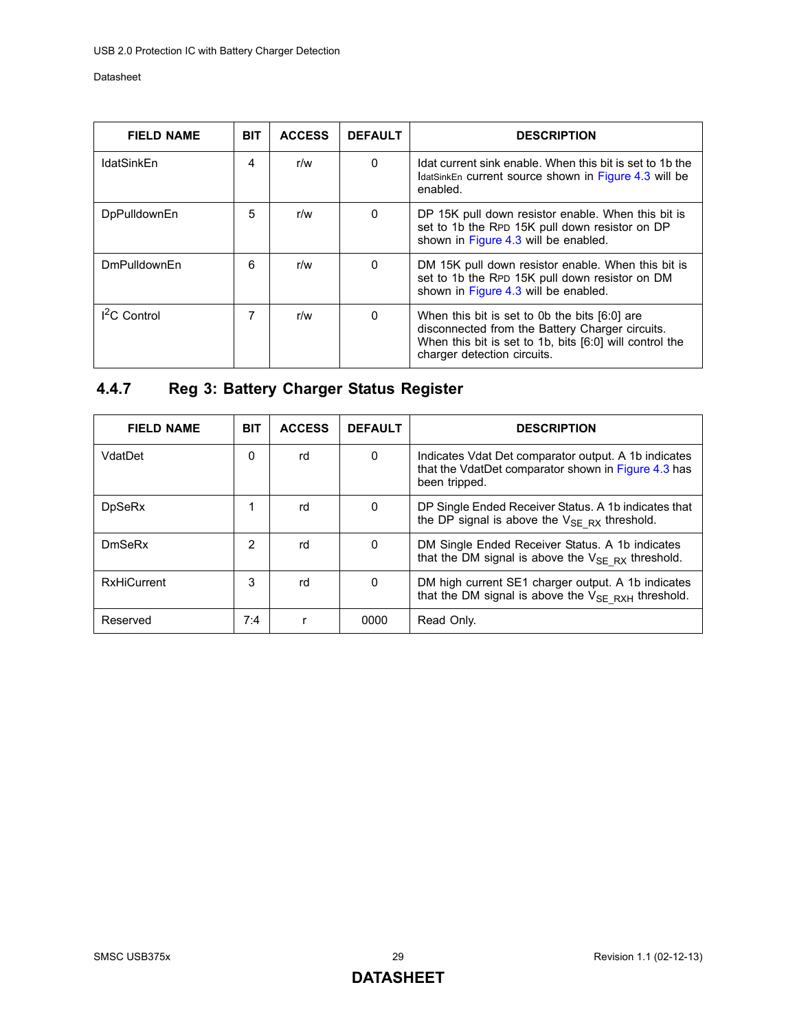| <b>FIELD NAME</b>   | <b>BIT</b> | <b>ACCESS</b> | <b>DEFAULT</b> | <b>DESCRIPTION</b>                                                                                                                                                                         |
|---------------------|------------|---------------|----------------|--------------------------------------------------------------------------------------------------------------------------------------------------------------------------------------------|
| <b>IdatSinkEn</b>   | 4          | r/w           | $\Omega$       | Idat current sink enable. When this bit is set to 1b the<br>IdatSinkEn current source shown in Figure 4.3 will be<br>enabled.                                                              |
| <b>DpPulldownEn</b> | 5          | r/w           | $\mathbf{0}$   | DP 15K pull down resistor enable. When this bit is<br>set to 1b the RPD 15K pull down resistor on DP<br>shown in Figure 4.3 will be enabled.                                               |
| <b>DmPulldownFn</b> | 6          | r/w           | 0              | DM 15K pull down resistor enable. When this bit is<br>set to 1b the RPD 15K pull down resistor on DM<br>shown in Figure 4.3 will be enabled.                                               |
| $I2C$ Control       |            | r/w           | 0              | When this bit is set to 0b the bits [6:0] are<br>disconnected from the Battery Charger circuits.<br>When this bit is set to 1b, bits [6:0] will control the<br>charger detection circuits. |

## <span id="page-28-0"></span>**4.4.7 Reg 3: Battery Charger Status Register**

| <b>FIELD NAME</b>  | <b>BIT</b>     | <b>ACCESS</b> | <b>DEFAULT</b> | <b>DESCRIPTION</b>                                                                                                           |
|--------------------|----------------|---------------|----------------|------------------------------------------------------------------------------------------------------------------------------|
| VdatDet            | 0              | rd            | 0              | Indicates Vdat Det comparator output. A 1b indicates<br>that the VdatDet comparator shown in Figure 4.3 has<br>been tripped. |
| <b>DpSeRx</b>      |                | rd            | 0              | DP Single Ended Receiver Status. A 1b indicates that<br>the DP signal is above the $V_{SE RX}$ threshold.                    |
| DmSeRx             | $\overline{2}$ | rd            | 0              | DM Single Ended Receiver Status. A 1b indicates<br>that the DM signal is above the $V_{SE RX}$ threshold.                    |
| <b>RxHiCurrent</b> | 3              | rd            | 0              | DM high current SE1 charger output. A 1b indicates<br>that the DM signal is above the $V_{SE RXH}$ threshold.                |
| Reserved           | 7:4            |               | 0000           | Read Only.                                                                                                                   |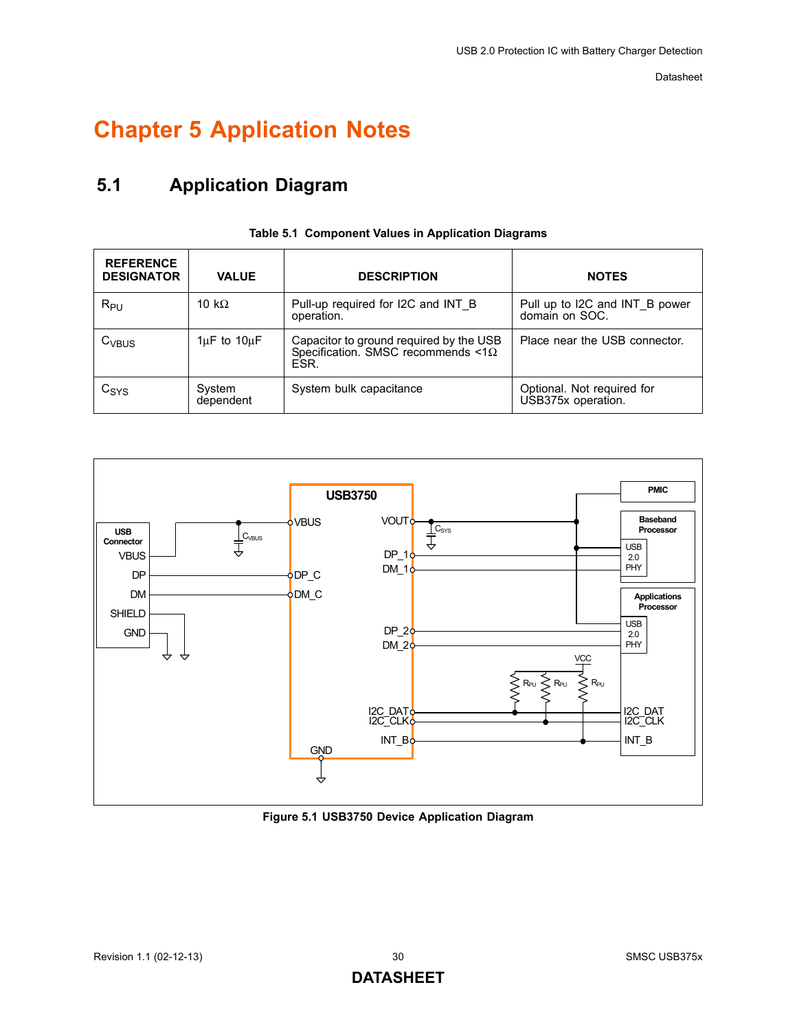## <span id="page-29-0"></span>**Chapter 5 Application Notes**

## <span id="page-29-1"></span>**5.1 Application Diagram**

<span id="page-29-3"></span>

| <b>REFERENCE</b><br><b>DESIGNATOR</b> | <b>VALUE</b>          | <b>DESCRIPTION</b>                                                                            | <b>NOTES</b>                                     |
|---------------------------------------|-----------------------|-----------------------------------------------------------------------------------------------|--------------------------------------------------|
| $R_{PU}$                              | 10 k $\Omega$         | Pull-up required for I2C and INT B<br>operation.                                              | Pull up to I2C and INT B power<br>domain on SOC. |
| $C_{VBUS}$                            | $1\mu$ F to $10\mu$ F | Capacitor to ground required by the USB<br>Specification. SMSC recommends < $1\Omega$<br>ESR. | Place near the USB connector.                    |
| $C_{\text{SYS}}$                      | System<br>dependent   | System bulk capacitance                                                                       | Optional. Not required for<br>USB375x operation. |

#### **Table 5.1 Component Values in Application Diagrams**



<span id="page-29-2"></span>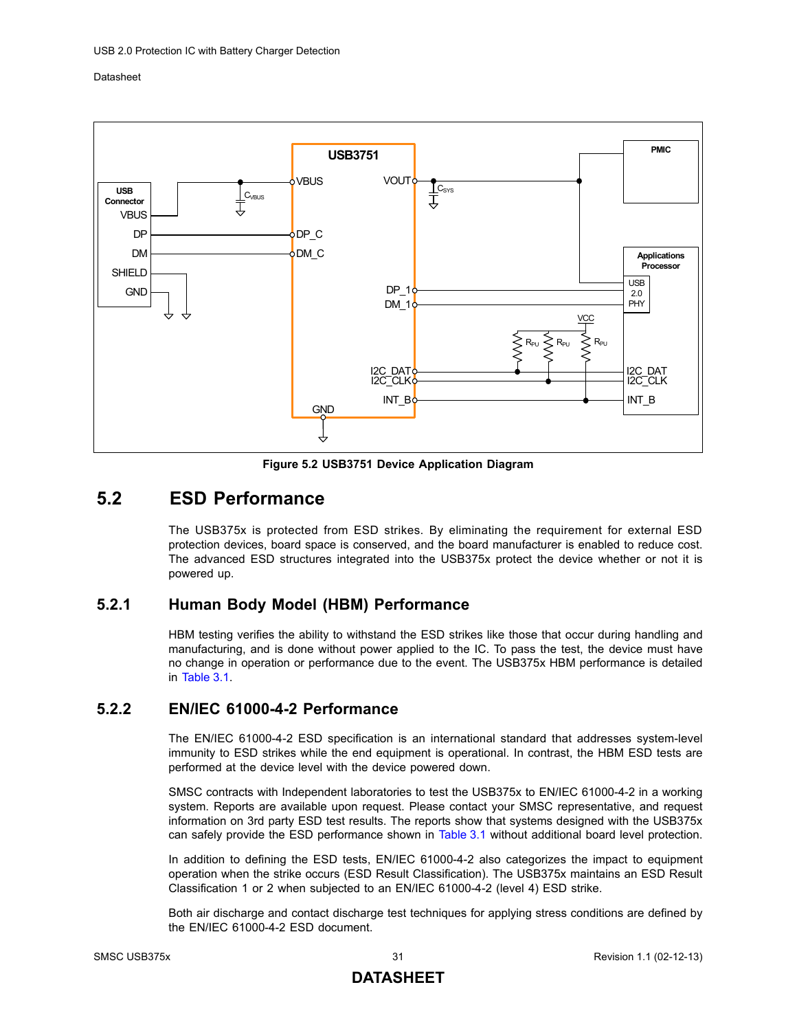

**Figure 5.2 USB3751 Device Application Diagram**

## <span id="page-30-3"></span><span id="page-30-0"></span>**5.2 ESD Performance**

The USB375x is protected from ESD strikes. By eliminating the requirement for external ESD protection devices, board space is conserved, and the board manufacturer is enabled to reduce cost. The advanced ESD structures integrated into the USB375x protect the device whether or not it is powered up.

### <span id="page-30-1"></span>**5.2.1 Human Body Model (HBM) Performance**

HBM testing verifies the ability to withstand the ESD strikes like those that occur during handling and manufacturing, and is done without power applied to the IC. To pass the test, the device must have no change in operation or performance due to the event. The USB375x HBM performance is detailed in [Table 3.1](#page-9-5).

#### <span id="page-30-2"></span>**5.2.2 EN/IEC 61000-4-2 Performance**

The EN/IEC 61000-4-2 ESD specification is an international standard that addresses system-level immunity to ESD strikes while the end equipment is operational. In contrast, the HBM ESD tests are performed at the device level with the device powered down.

SMSC contracts with Independent laboratories to test the USB375x to EN/IEC 61000-4-2 in a working system. Reports are available upon request. Please contact your SMSC representative, and request information on 3rd party ESD test results. The reports show that systems designed with the USB375x can safely provide the ESD performance shown in [Table 3.1](#page-9-5) without additional board level protection.

In addition to defining the ESD tests, EN/IEC 61000-4-2 also categorizes the impact to equipment operation when the strike occurs (ESD Result Classification). The USB375x maintains an ESD Result Classification 1 or 2 when subjected to an EN/IEC 61000-4-2 (level 4) ESD strike.

Both air discharge and contact discharge test techniques for applying stress conditions are defined by the EN/IEC 61000-4-2 ESD document.

### **DATASHEET**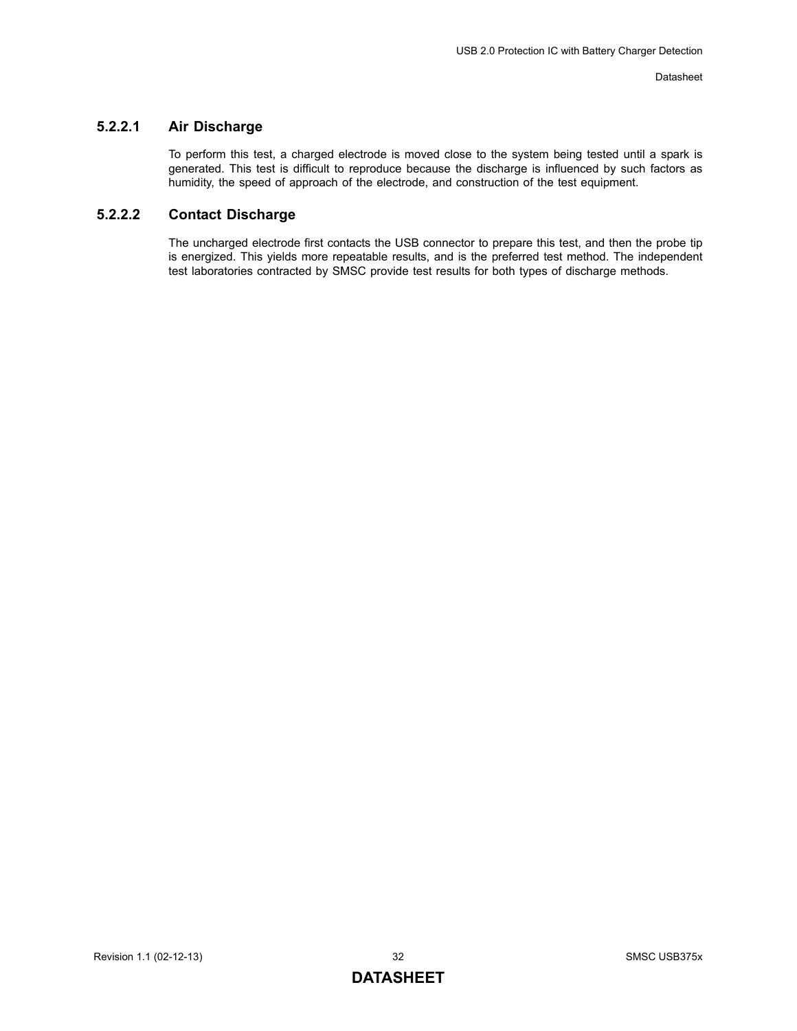#### <span id="page-31-0"></span>**5.2.2.1 Air Discharge**

To perform this test, a charged electrode is moved close to the system being tested until a spark is generated. This test is difficult to reproduce because the discharge is influenced by such factors as humidity, the speed of approach of the electrode, and construction of the test equipment.

#### <span id="page-31-1"></span>**5.2.2.2 Contact Discharge**

The uncharged electrode first contacts the USB connector to prepare this test, and then the probe tip is energized. This yields more repeatable results, and is the preferred test method. The independent test laboratories contracted by SMSC provide test results for both types of discharge methods.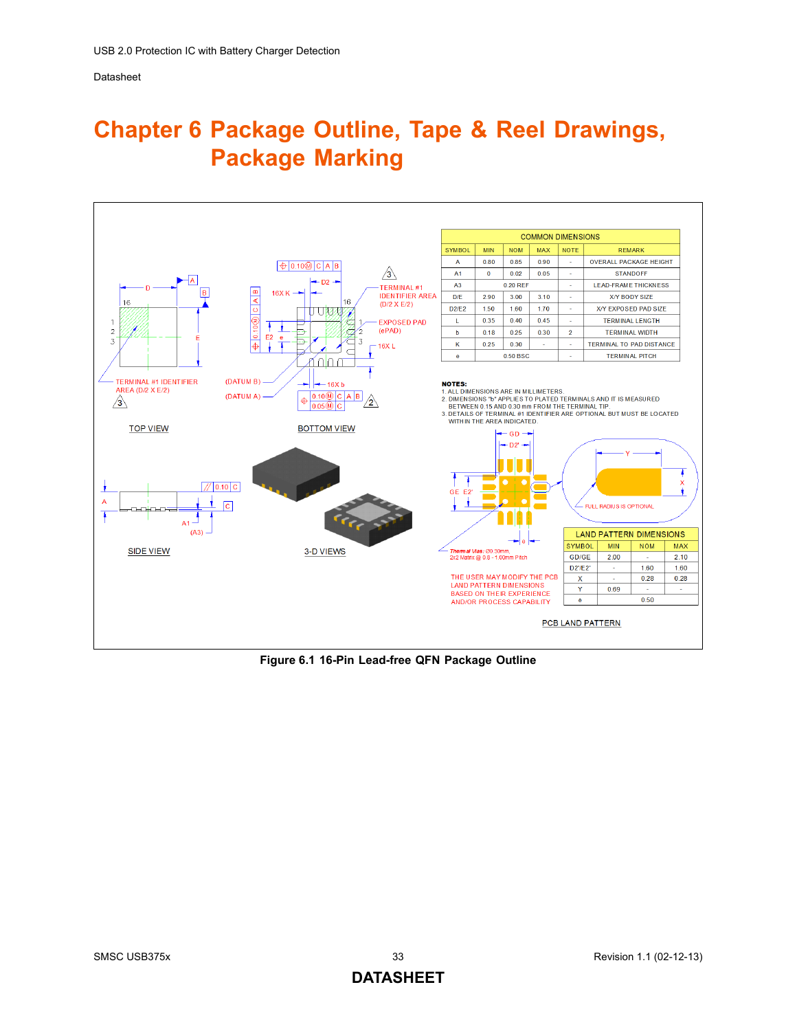## <span id="page-32-0"></span>**Chapter 6 Package Outline, Tape & Reel Drawings, Package Marking**



<span id="page-32-1"></span>**Figure 6.1 16-Pin Lead-free QFN Package Outline**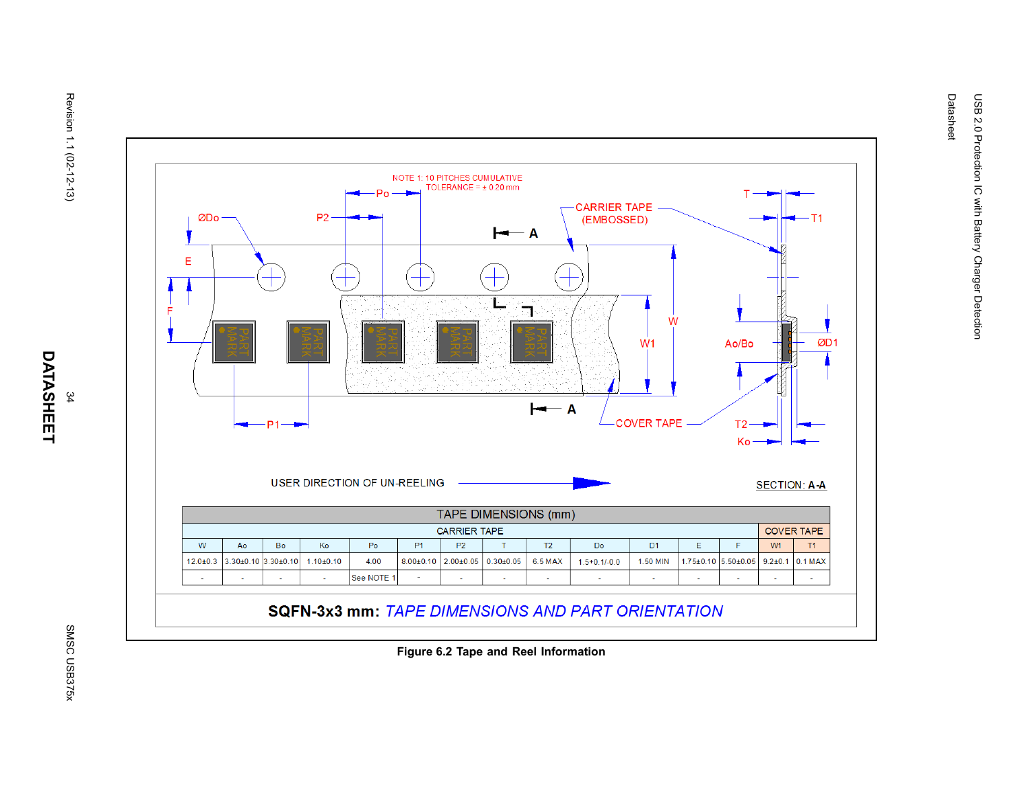

**SQFN-3x3 mm: TAPE DIMENSIONS AND PART ORIENTATION** 

**Figure 6.2 Tape and Reel Information**

 $T<sub>1</sub>$ 

ØD<sub>1</sub>

Ao/Bo

 $T2 -$ 

Ko

 $\mathsf F$ 

<span id="page-33-0"></span>L,

**SECTION: A-A** 

**COVER TAPE** 

 $T1$ 

÷.

 $W1$ 

 $\omega$ 

Datasheet

USB 2.0 Protection IC with Battery Charger Detection

USB 2.0 Protection IC with Battery Charger Detection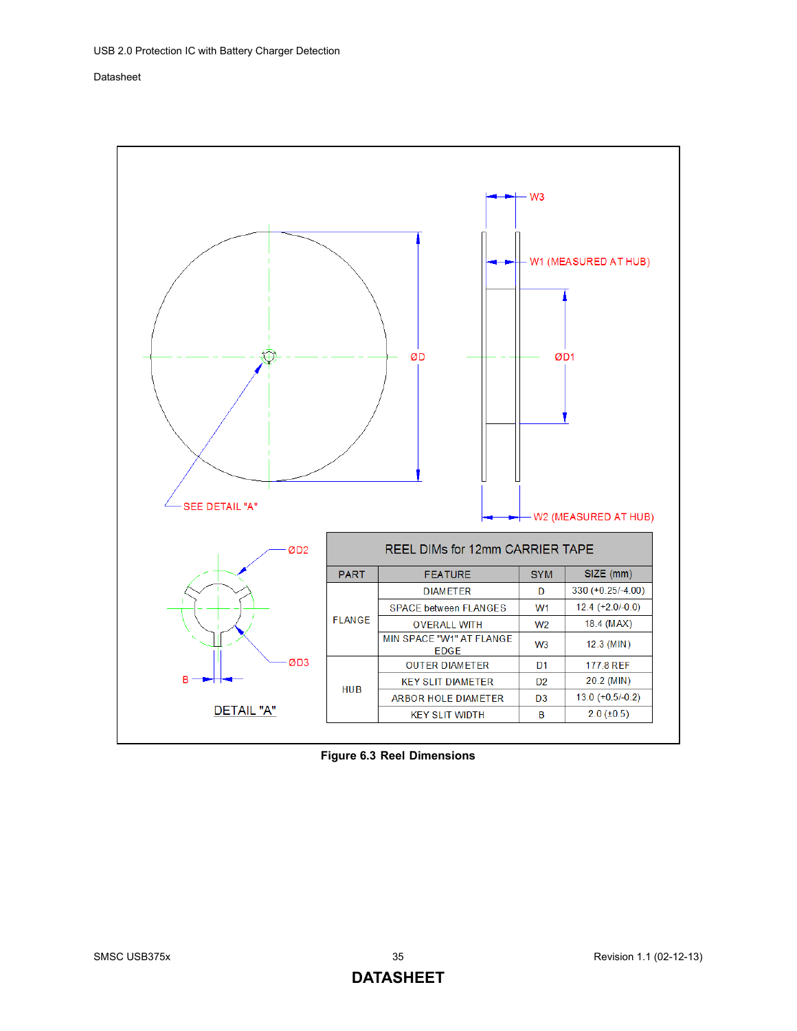

<span id="page-34-0"></span>**Figure 6.3 Reel Dimensions**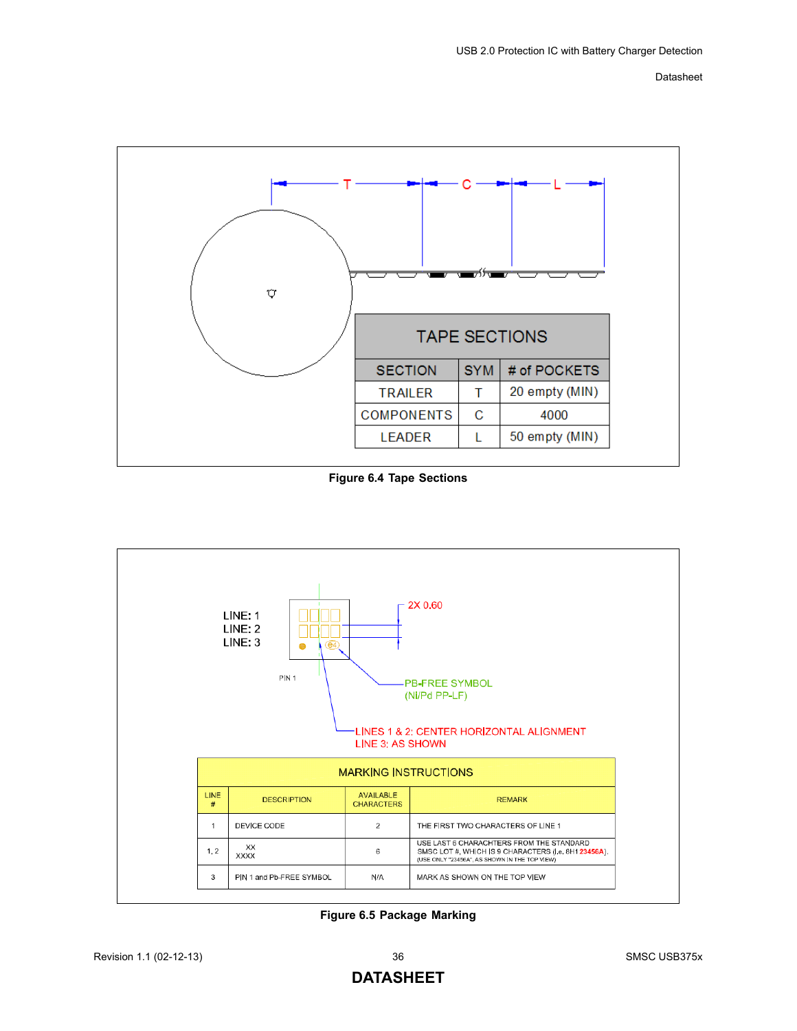

**Figure 6.4 Tape Sections**

<span id="page-35-0"></span>

<span id="page-35-1"></span>**Figure 6.5 Package Marking**